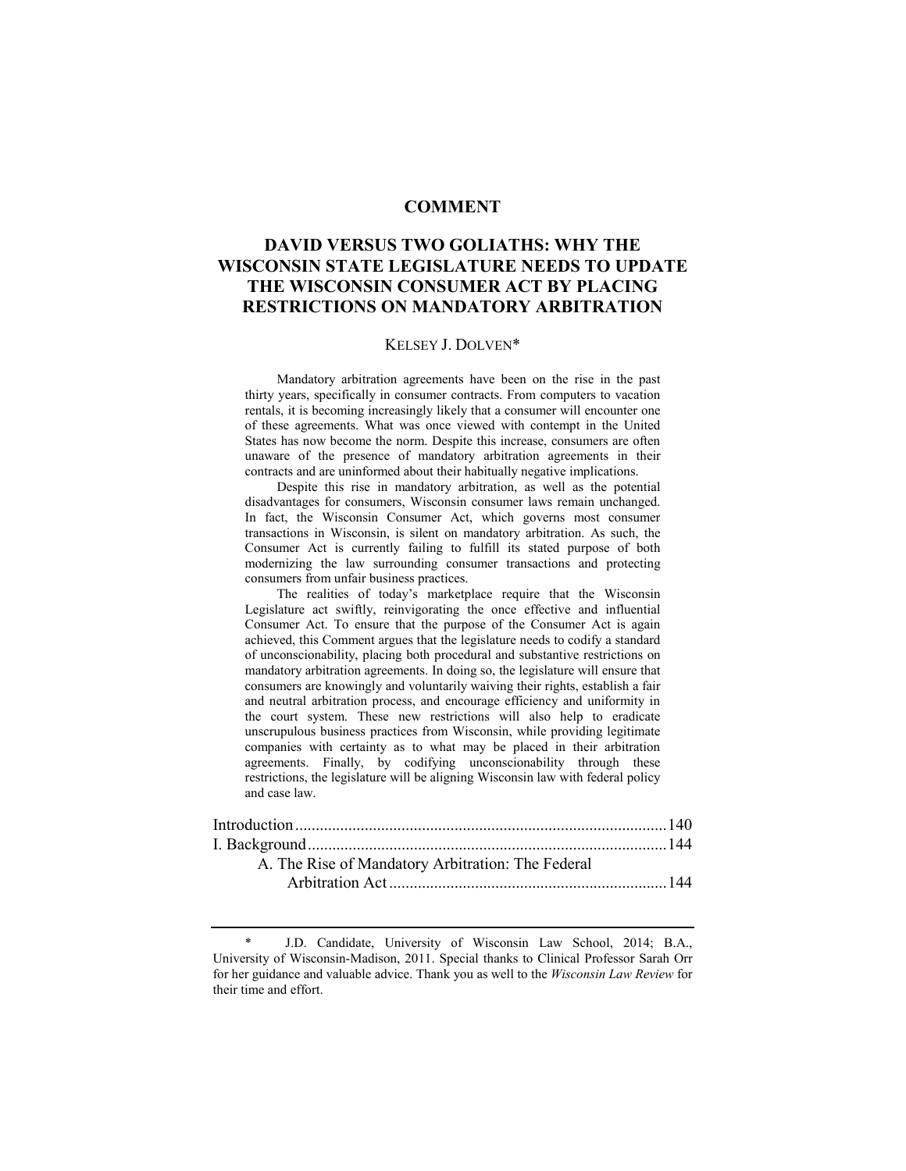## **COMMENT**

# **DAVID VERSUS TWO GOLIATHS: WHY THE WISCONSIN STATE LEGISLATURE NEEDS TO UPDATE THE WISCONSIN CONSUMER ACT BY PLACING RESTRICTIONS ON MANDATORY ARBITRATION**

#### KELSEY J. DOLVEN\*

 Mandatory arbitration agreements have been on the rise in the past thirty years, specifically in consumer contracts. From computers to vacation rentals, it is becoming increasingly likely that a consumer will encounter one of these agreements. What was once viewed with contempt in the United States has now become the norm. Despite this increase, consumers are often unaware of the presence of mandatory arbitration agreements in their contracts and are uninformed about their habitually negative implications.

 Despite this rise in mandatory arbitration, as well as the potential disadvantages for consumers, Wisconsin consumer laws remain unchanged. In fact, the Wisconsin Consumer Act, which governs most consumer transactions in Wisconsin, is silent on mandatory arbitration. As such, the Consumer Act is currently failing to fulfill its stated purpose of both modernizing the law surrounding consumer transactions and protecting consumers from unfair business practices.

 The realities of today's marketplace require that the Wisconsin Legislature act swiftly, reinvigorating the once effective and influential Consumer Act. To ensure that the purpose of the Consumer Act is again achieved, this Comment argues that the legislature needs to codify a standard of unconscionability, placing both procedural and substantive restrictions on mandatory arbitration agreements. In doing so, the legislature will ensure that consumers are knowingly and voluntarily waiving their rights, establish a fair and neutral arbitration process, and encourage efficiency and uniformity in the court system. These new restrictions will also help to eradicate unscrupulous business practices from Wisconsin, while providing legitimate companies with certainty as to what may be placed in their arbitration agreements. Finally, by codifying unconscionability through these restrictions, the legislature will be aligning Wisconsin law with federal policy and case law.

| A. The Rise of Mandatory Arbitration: The Federal |  |
|---------------------------------------------------|--|
|                                                   |  |
|                                                   |  |

J.D. Candidate, University of Wisconsin Law School, 2014; B.A., University of Wisconsin-Madison, 2011. Special thanks to Clinical Professor Sarah Orr for her guidance and valuable advice. Thank you as well to the *Wisconsin Law Review* for their time and effort.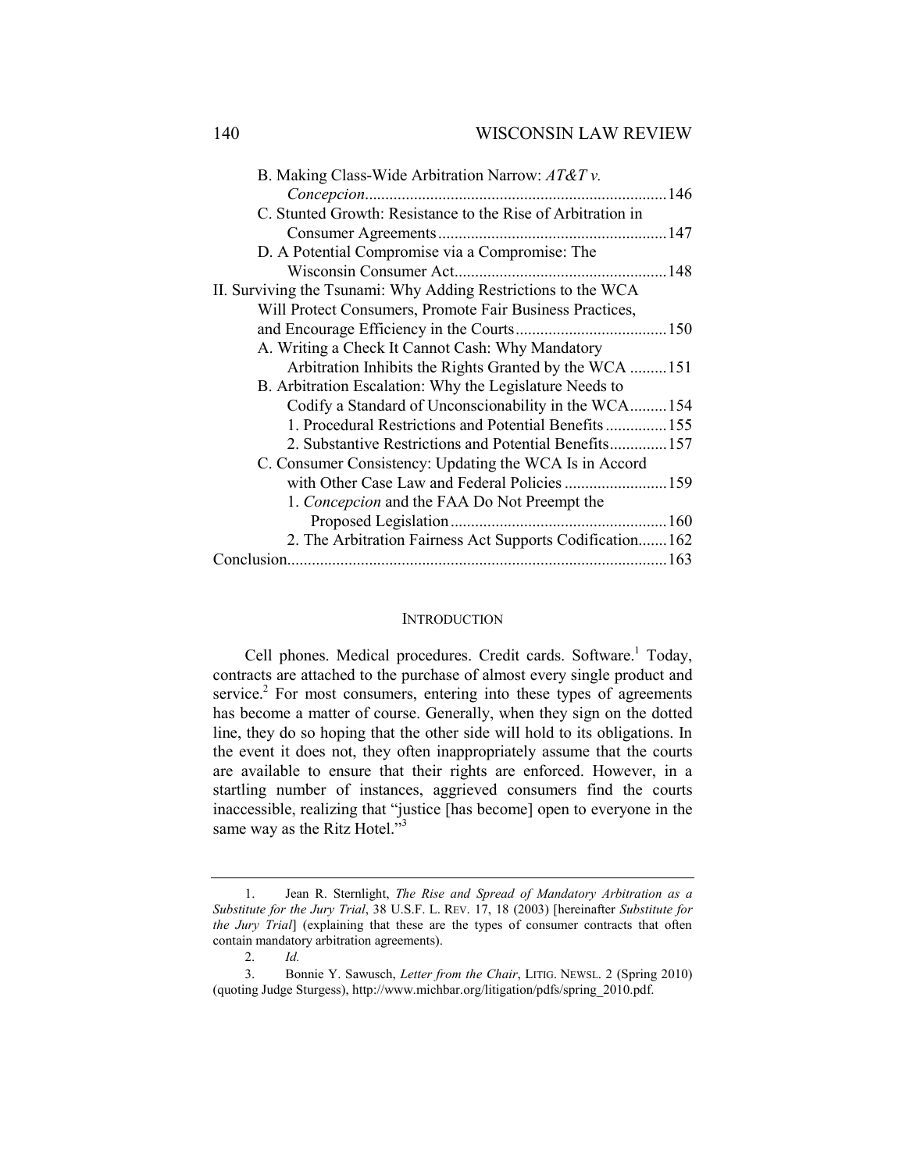| B. Making Class-Wide Arbitration Narrow: $AT\&Tv$ .           |  |
|---------------------------------------------------------------|--|
|                                                               |  |
| C. Stunted Growth: Resistance to the Rise of Arbitration in   |  |
|                                                               |  |
| D. A Potential Compromise via a Compromise: The               |  |
|                                                               |  |
| II. Surviving the Tsunami: Why Adding Restrictions to the WCA |  |
| Will Protect Consumers, Promote Fair Business Practices,      |  |
|                                                               |  |
| A. Writing a Check It Cannot Cash: Why Mandatory              |  |
| Arbitration Inhibits the Rights Granted by the WCA 151        |  |
| B. Arbitration Escalation: Why the Legislature Needs to       |  |
| Codify a Standard of Unconscionability in the WCA154          |  |
| 1. Procedural Restrictions and Potential Benefits 155         |  |
| 2. Substantive Restrictions and Potential Benefits 157        |  |
| C. Consumer Consistency: Updating the WCA Is in Accord        |  |
| with Other Case Law and Federal Policies  159                 |  |
| 1. Concepcion and the FAA Do Not Preempt the                  |  |
|                                                               |  |
| 2. The Arbitration Fairness Act Supports Codification 162     |  |
|                                                               |  |
|                                                               |  |

## **INTRODUCTION**

Cell phones. Medical procedures. Credit cards. Software.<sup>1</sup> Today, contracts are attached to the purchase of almost every single product and service. $2$  For most consumers, entering into these types of agreements has become a matter of course. Generally, when they sign on the dotted line, they do so hoping that the other side will hold to its obligations. In the event it does not, they often inappropriately assume that the courts are available to ensure that their rights are enforced. However, in a startling number of instances, aggrieved consumers find the courts inaccessible, realizing that "justice [has become] open to everyone in the same way as the Ritz Hotel."<sup>3</sup>

 <sup>1.</sup> Jean R. Sternlight, *The Rise and Spread of Mandatory Arbitration as a Substitute for the Jury Trial*, 38 U.S.F. L. REV. 17, 18 (2003) [hereinafter *Substitute for the Jury Trial*] (explaining that these are the types of consumer contracts that often contain mandatory arbitration agreements).

 <sup>2.</sup> *Id.* 

 <sup>3.</sup> Bonnie Y. Sawusch, *Letter from the Chair*, LITIG. NEWSL. 2 (Spring 2010) (quoting Judge Sturgess), http://www.michbar.org/litigation/pdfs/spring\_2010.pdf.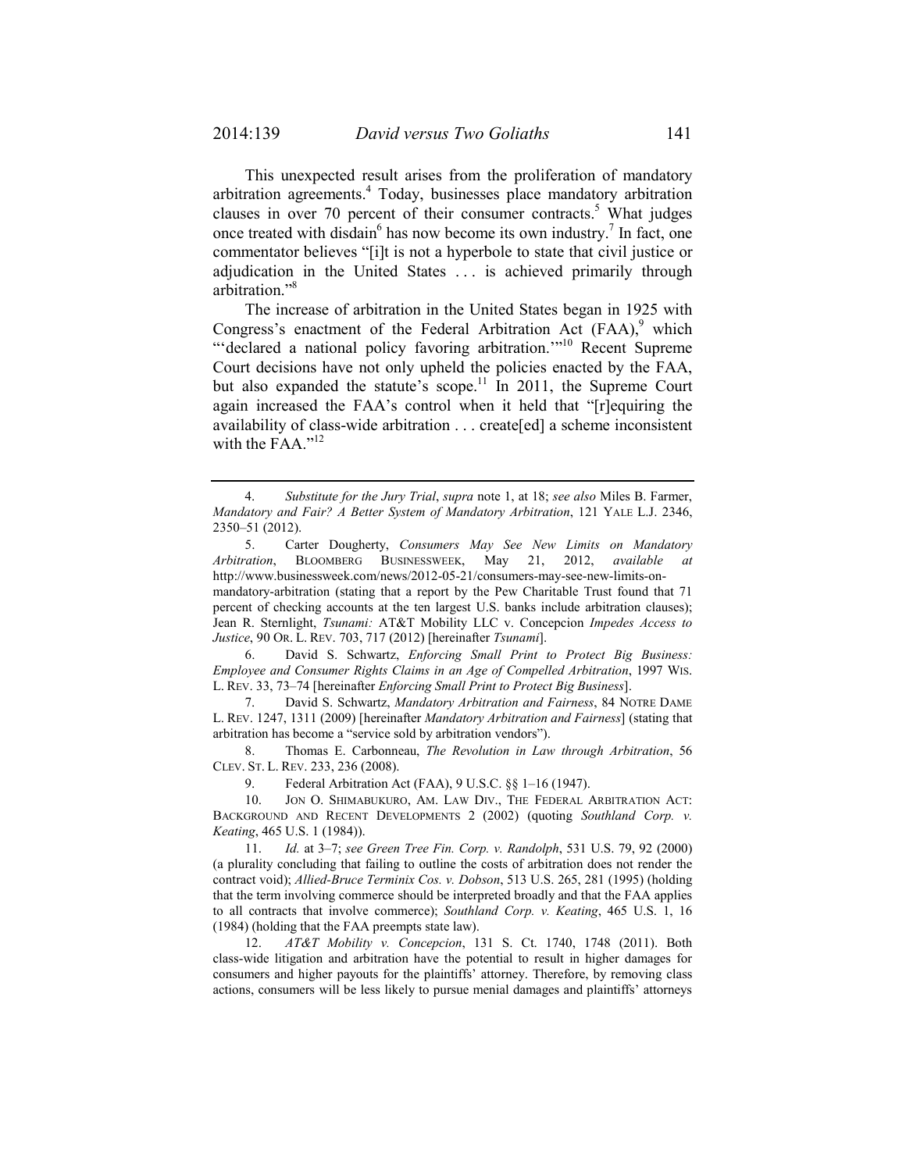This unexpected result arises from the proliferation of mandatory arbitration agreements.<sup>4</sup> Today, businesses place mandatory arbitration clauses in over 70 percent of their consumer contracts.<sup>5</sup> What judges once treated with disdain<sup>6</sup> has now become its own industry.<sup>7</sup> In fact, one commentator believes "[i]t is not a hyperbole to state that civil justice or adjudication in the United States . . . is achieved primarily through arbitration."8

The increase of arbitration in the United States began in 1925 with Congress's enactment of the Federal Arbitration Act  $(FAA)$ , which "'declared a national policy favoring arbitration."<sup>10</sup> Recent Supreme Court decisions have not only upheld the policies enacted by the FAA, but also expanded the statute's scope.<sup>11</sup> In 2011, the Supreme Court again increased the FAA's control when it held that "[r]equiring the availability of class-wide arbitration . . . create[ed] a scheme inconsistent with the FAA. $"^{12}$ 

 5. Carter Dougherty, *Consumers May See New Limits on Mandatory Arbitration*, BLOOMBERG BUSINESSWEEK, May 21, 2012, *available at* http://www.businessweek.com/news/2012-05-21/consumers-may-see-new-limits-onmandatory-arbitration (stating that a report by the Pew Charitable Trust found that 71 percent of checking accounts at the ten largest U.S. banks include arbitration clauses); Jean R. Sternlight, *Tsunami:* AT&T Mobility LLC v. Concepcion *Impedes Access to Justice*, 90 OR. L. REV. 703, 717 (2012) [hereinafter *Tsunami*].

 6. David S. Schwartz, *Enforcing Small Print to Protect Big Business: Employee and Consumer Rights Claims in an Age of Compelled Arbitration*, 1997 WIS. L. REV. 33, 73–74 [hereinafter *Enforcing Small Print to Protect Big Business*].

 7. David S. Schwartz, *Mandatory Arbitration and Fairness*, 84 NOTRE DAME L. REV. 1247, 1311 (2009) [hereinafter *Mandatory Arbitration and Fairness*] (stating that arbitration has become a "service sold by arbitration vendors").

 8. Thomas E. Carbonneau, *The Revolution in Law through Arbitration*, 56 CLEV. ST. L. REV. 233, 236 (2008).

9. Federal Arbitration Act (FAA), 9 U.S.C. §§ 1–16 (1947).

 10. JON O. SHIMABUKURO, AM. LAW DIV., THE FEDERAL ARBITRATION ACT: BACKGROUND AND RECENT DEVELOPMENTS 2 (2002) (quoting *Southland Corp. v. Keating*, 465 U.S. 1 (1984)).

 11. *Id.* at 3–7; *see Green Tree Fin. Corp. v. Randolph*, 531 U.S. 79, 92 (2000) (a plurality concluding that failing to outline the costs of arbitration does not render the contract void); *Allied-Bruce Terminix Cos. v. Dobson*, 513 U.S. 265, 281 (1995) (holding that the term involving commerce should be interpreted broadly and that the FAA applies to all contracts that involve commerce); *Southland Corp. v. Keating*, 465 U.S. 1, 16 (1984) (holding that the FAA preempts state law).

 12. *AT&T Mobility v. Concepcion*, 131 S. Ct. 1740, 1748 (2011). Both class-wide litigation and arbitration have the potential to result in higher damages for consumers and higher payouts for the plaintiffs' attorney. Therefore, by removing class actions, consumers will be less likely to pursue menial damages and plaintiffs' attorneys

 <sup>4.</sup> *Substitute for the Jury Trial*, *supra* note 1, at 18; *see also* Miles B. Farmer, *Mandatory and Fair? A Better System of Mandatory Arbitration*, 121 YALE L.J. 2346, 2350–51 (2012).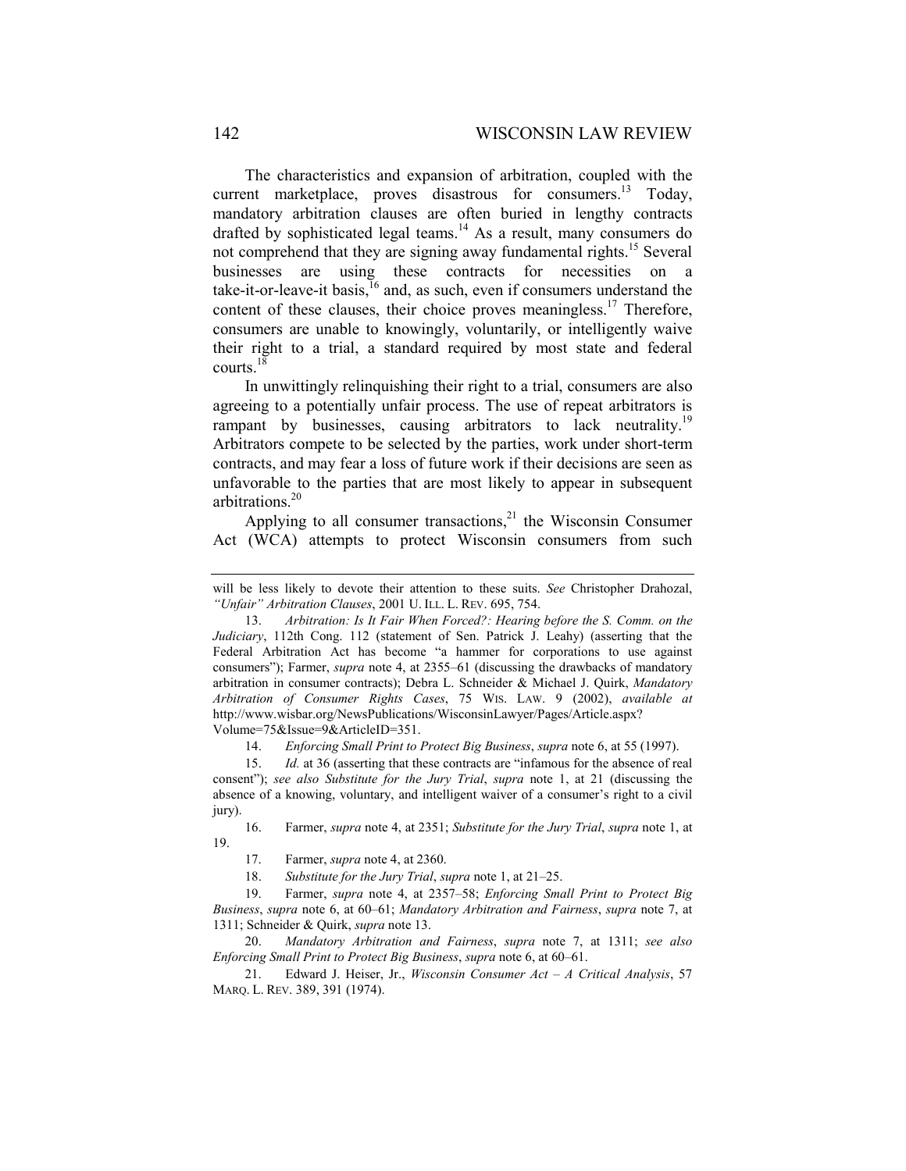The characteristics and expansion of arbitration, coupled with the current marketplace, proves disastrous for consumers.<sup>13</sup> Today, mandatory arbitration clauses are often buried in lengthy contracts drafted by sophisticated legal teams.<sup>14</sup> As a result, many consumers do not comprehend that they are signing away fundamental rights.<sup>15</sup> Several businesses are using these contracts for necessities on a take-it-or-leave-it basis, $\frac{16}{6}$  and, as such, even if consumers understand the content of these clauses, their choice proves meaningless.<sup>17</sup> Therefore, consumers are unable to knowingly, voluntarily, or intelligently waive their right to a trial, a standard required by most state and federal courts. $18$ 

In unwittingly relinquishing their right to a trial, consumers are also agreeing to a potentially unfair process. The use of repeat arbitrators is rampant by businesses, causing arbitrators to lack neutrality.<sup>19</sup> Arbitrators compete to be selected by the parties, work under short-term contracts, and may fear a loss of future work if their decisions are seen as unfavorable to the parties that are most likely to appear in subsequent arbitrations.<sup>20</sup>

Applying to all consumer transactions, $2<sup>1</sup>$  the Wisconsin Consumer Act (WCA) attempts to protect Wisconsin consumers from such

14. *Enforcing Small Print to Protect Big Business*, *supra* note 6, at 55 (1997).

 15. *Id.* at 36 (asserting that these contracts are "infamous for the absence of real consent"); *see also Substitute for the Jury Trial*, *supra* note 1, at 21 (discussing the absence of a knowing, voluntary, and intelligent waiver of a consumer's right to a civil jury).

 16. Farmer, *supra* note 4, at 2351; *Substitute for the Jury Trial*, *supra* note 1, at 19.

17. Farmer, *supra* note 4, at 2360.

18. *Substitute for the Jury Trial*, *supra* note 1, at 21–25.

 19. Farmer, *supra* note 4, at 2357–58; *Enforcing Small Print to Protect Big Business*, *supra* note 6, at 60–61; *Mandatory Arbitration and Fairness*, *supra* note 7, at 1311; Schneider & Quirk, *supra* note 13.

20. *Mandatory Arbitration and Fairness*, *supra* note 7, at 1311; *see also Enforcing Small Print to Protect Big Business*, *supra* note 6, at 60–61.

 21. Edward J. Heiser, Jr., *Wisconsin Consumer Act – A Critical Analysis*, 57 MARQ. L. REV. 389, 391 (1974).

will be less likely to devote their attention to these suits. *See* Christopher Drahozal, *"Unfair" Arbitration Clauses*, 2001 U. ILL. L. REV. 695, 754.

 <sup>13.</sup> *Arbitration: Is It Fair When Forced?: Hearing before the S. Comm. on the Judiciary*, 112th Cong. 112 (statement of Sen. Patrick J. Leahy) (asserting that the Federal Arbitration Act has become "a hammer for corporations to use against consumers"); Farmer, *supra* note 4, at 2355–61 (discussing the drawbacks of mandatory arbitration in consumer contracts); Debra L. Schneider & Michael J. Quirk, *Mandatory Arbitration of Consumer Rights Cases*, 75 WIS. LAW. 9 (2002), *available at* http://www.wisbar.org/NewsPublications/WisconsinLawyer/Pages/Article.aspx? Volume=75&Issue=9&ArticleID=351.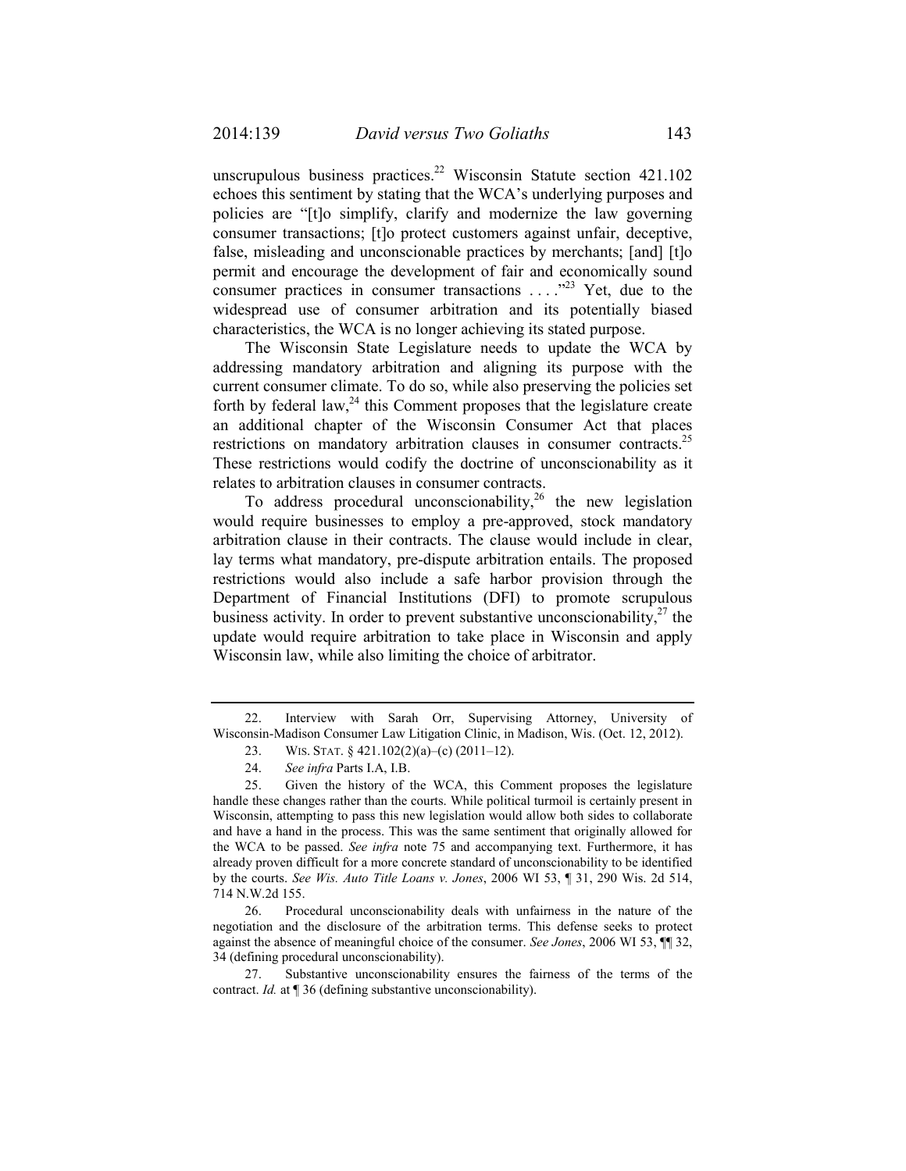unscrupulous business practices.<sup>22</sup> Wisconsin Statute section  $421.102$ echoes this sentiment by stating that the WCA's underlying purposes and policies are "[t]o simplify, clarify and modernize the law governing consumer transactions; [t]o protect customers against unfair, deceptive, false, misleading and unconscionable practices by merchants; [and] [t]o permit and encourage the development of fair and economically sound consumer practices in consumer transactions  $\ldots$ <sup>23</sup> Yet, due to the widespread use of consumer arbitration and its potentially biased characteristics, the WCA is no longer achieving its stated purpose.

The Wisconsin State Legislature needs to update the WCA by addressing mandatory arbitration and aligning its purpose with the current consumer climate. To do so, while also preserving the policies set forth by federal law,  $^{24}$  this Comment proposes that the legislature create an additional chapter of the Wisconsin Consumer Act that places restrictions on mandatory arbitration clauses in consumer contracts.<sup>25</sup> These restrictions would codify the doctrine of unconscionability as it relates to arbitration clauses in consumer contracts.

To address procedural unconscionability,<sup>26</sup> the new legislation would require businesses to employ a pre-approved, stock mandatory arbitration clause in their contracts. The clause would include in clear, lay terms what mandatory, pre-dispute arbitration entails. The proposed restrictions would also include a safe harbor provision through the Department of Financial Institutions (DFI) to promote scrupulous business activity. In order to prevent substantive unconscionability,  $27$  the update would require arbitration to take place in Wisconsin and apply Wisconsin law, while also limiting the choice of arbitrator.

 <sup>22.</sup> Interview with Sarah Orr, Supervising Attorney, University of Wisconsin-Madison Consumer Law Litigation Clinic, in Madison, Wis. (Oct. 12, 2012).

 <sup>23.</sup> WIS. STAT. § 421.102(2)(a)–(c) (2011–12).

 <sup>24.</sup> *See infra* Parts I.A, I.B.

 <sup>25.</sup> Given the history of the WCA, this Comment proposes the legislature handle these changes rather than the courts. While political turmoil is certainly present in Wisconsin, attempting to pass this new legislation would allow both sides to collaborate and have a hand in the process. This was the same sentiment that originally allowed for the WCA to be passed. *See infra* note 75 and accompanying text. Furthermore, it has already proven difficult for a more concrete standard of unconscionability to be identified by the courts. *See Wis. Auto Title Loans v. Jones*, 2006 WI 53, ¶ 31, 290 Wis. 2d 514, 714 N.W.2d 155.

 <sup>26.</sup> Procedural unconscionability deals with unfairness in the nature of the negotiation and the disclosure of the arbitration terms. This defense seeks to protect against the absence of meaningful choice of the consumer. *See Jones*, 2006 WI 53, ¶¶ 32, 34 (defining procedural unconscionability).

 <sup>27.</sup> Substantive unconscionability ensures the fairness of the terms of the contract. *Id.* at  $\P$  36 (defining substantive unconscionability).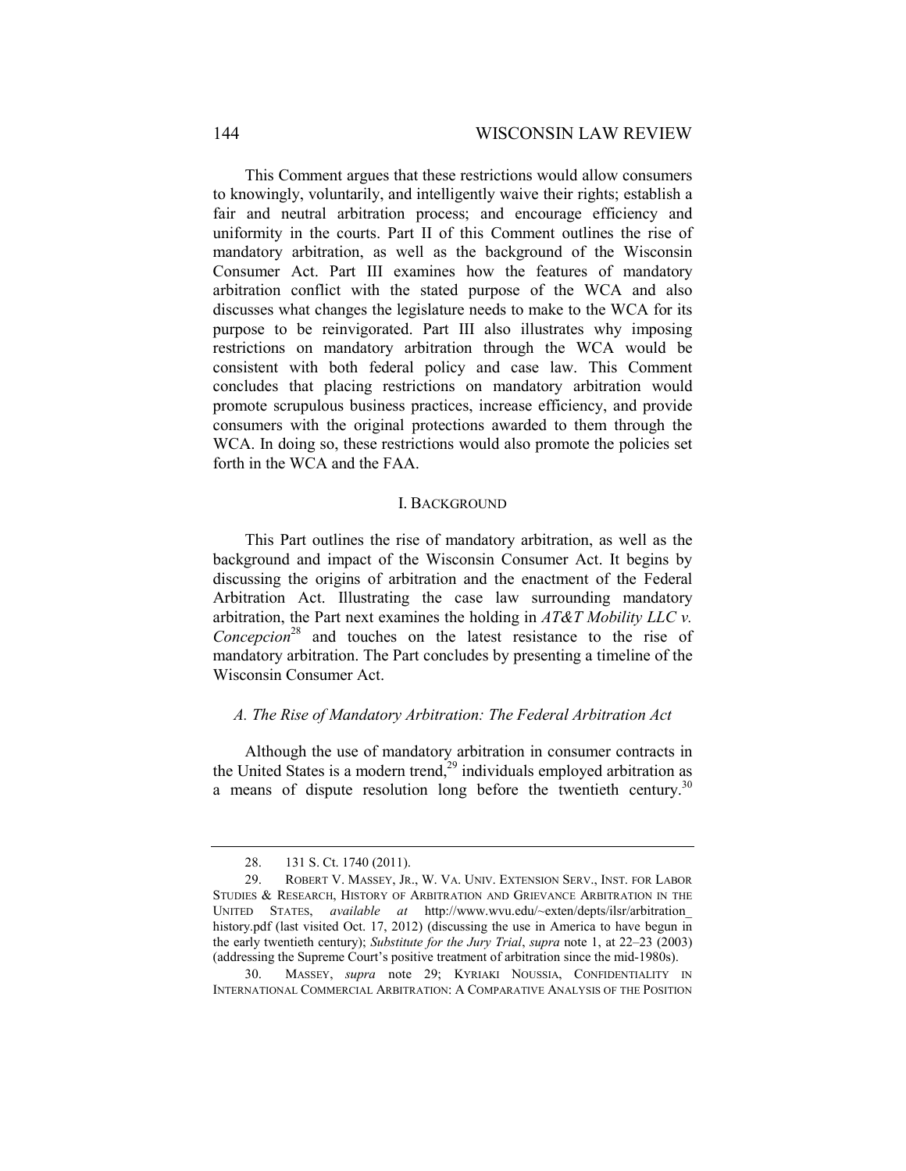This Comment argues that these restrictions would allow consumers to knowingly, voluntarily, and intelligently waive their rights; establish a fair and neutral arbitration process; and encourage efficiency and uniformity in the courts. Part II of this Comment outlines the rise of mandatory arbitration, as well as the background of the Wisconsin Consumer Act. Part III examines how the features of mandatory arbitration conflict with the stated purpose of the WCA and also discusses what changes the legislature needs to make to the WCA for its purpose to be reinvigorated. Part III also illustrates why imposing restrictions on mandatory arbitration through the WCA would be consistent with both federal policy and case law. This Comment concludes that placing restrictions on mandatory arbitration would promote scrupulous business practices, increase efficiency, and provide consumers with the original protections awarded to them through the WCA. In doing so, these restrictions would also promote the policies set forth in the WCA and the FAA.

### I. BACKGROUND

This Part outlines the rise of mandatory arbitration, as well as the background and impact of the Wisconsin Consumer Act. It begins by discussing the origins of arbitration and the enactment of the Federal Arbitration Act. Illustrating the case law surrounding mandatory arbitration, the Part next examines the holding in *AT&T Mobility LLC v. Concepcion*<sup>28</sup> and touches on the latest resistance to the rise of mandatory arbitration. The Part concludes by presenting a timeline of the Wisconsin Consumer Act.

### *A. The Rise of Mandatory Arbitration: The Federal Arbitration Act*

Although the use of mandatory arbitration in consumer contracts in the United States is a modern trend,<sup>29</sup> individuals employed arbitration as a means of dispute resolution long before the twentieth century.<sup>30</sup>

 <sup>28. 131</sup> S. Ct. 1740 (2011).

 <sup>29.</sup> ROBERT V. MASSEY, JR., W. VA. UNIV. EXTENSION SERV., INST. FOR LABOR STUDIES & RESEARCH, HISTORY OF ARBITRATION AND GRIEVANCE ARBITRATION IN THE UNITED STATES, *available at* http://www.wvu.edu/~exten/depts/ilsr/arbitration\_ history.pdf (last visited Oct. 17, 2012) (discussing the use in America to have begun in the early twentieth century); *Substitute for the Jury Trial*, *supra* note 1, at 22–23 (2003) (addressing the Supreme Court's positive treatment of arbitration since the mid-1980s).

 <sup>30.</sup> MASSEY, *supra* note 29; KYRIAKI NOUSSIA, CONFIDENTIALITY IN INTERNATIONAL COMMERCIAL ARBITRATION: A COMPARATIVE ANALYSIS OF THE POSITION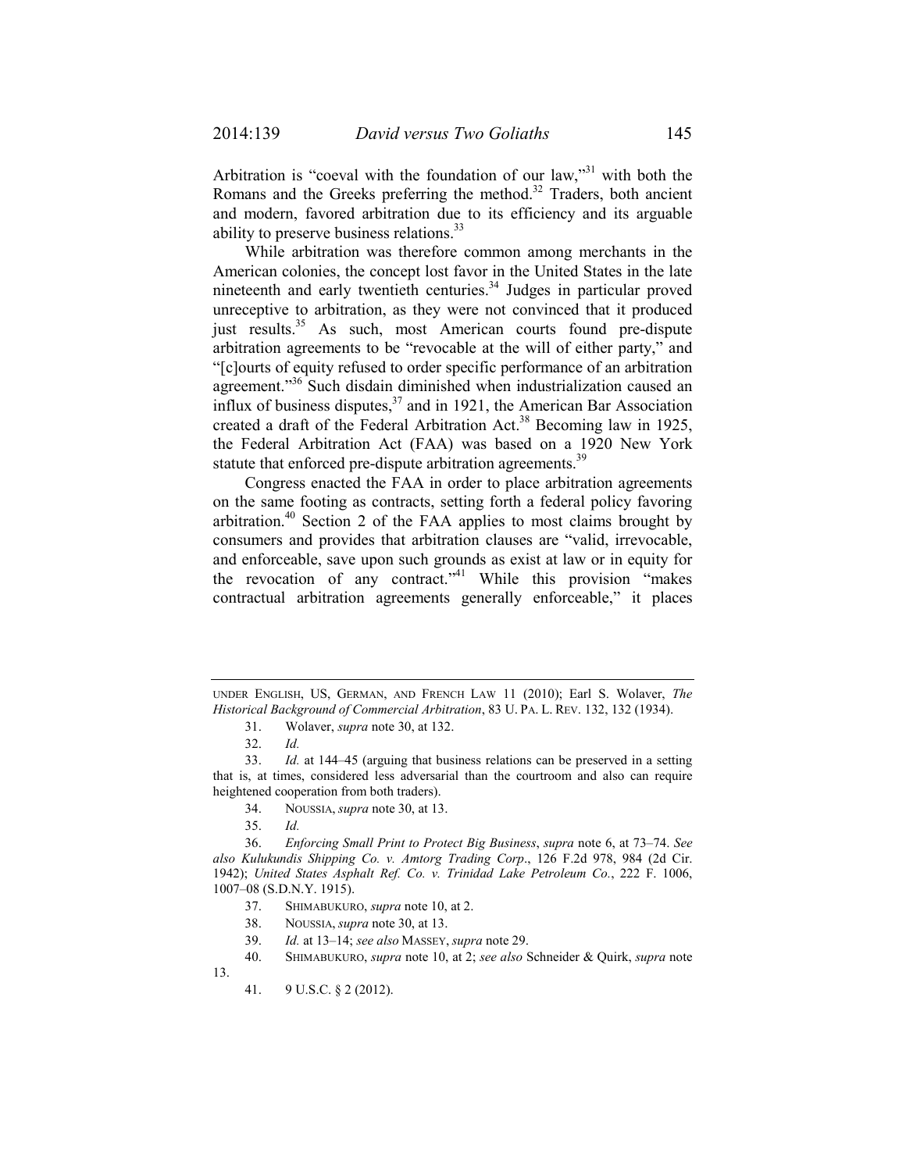Arbitration is "coeval with the foundation of our law,"31 with both the Romans and the Greeks preferring the method.<sup>32</sup> Traders, both ancient and modern, favored arbitration due to its efficiency and its arguable ability to preserve business relations.<sup>33</sup>

While arbitration was therefore common among merchants in the American colonies, the concept lost favor in the United States in the late nineteenth and early twentieth centuries.<sup>34</sup> Judges in particular proved unreceptive to arbitration, as they were not convinced that it produced just results.<sup>35</sup> As such, most American courts found pre-dispute arbitration agreements to be "revocable at the will of either party," and "[c]ourts of equity refused to order specific performance of an arbitration agreement."<sup>36</sup> Such disdain diminished when industrialization caused an influx of business disputes, $37$  and in 1921, the American Bar Association created a draft of the Federal Arbitration Act.<sup>38</sup> Becoming law in 1925, the Federal Arbitration Act (FAA) was based on a 1920 New York statute that enforced pre-dispute arbitration agreements.<sup>39</sup>

Congress enacted the FAA in order to place arbitration agreements on the same footing as contracts, setting forth a federal policy favoring arbitration.<sup>40</sup> Section 2 of the FAA applies to most claims brought by consumers and provides that arbitration clauses are "valid, irrevocable, and enforceable, save upon such grounds as exist at law or in equity for the revocation of any contract."<sup>41</sup> While this provision "makes" contractual arbitration agreements generally enforceable," it places

UNDER ENGLISH, US, GERMAN, AND FRENCH LAW 11 (2010); Earl S. Wolaver, *The Historical Background of Commercial Arbitration*, 83 U. PA. L. REV. 132, 132 (1934).

 <sup>31.</sup> Wolaver, *supra* note 30, at 132.

 <sup>32.</sup> *Id.*

 <sup>33.</sup> *Id.* at 144–45 (arguing that business relations can be preserved in a setting that is, at times, considered less adversarial than the courtroom and also can require heightened cooperation from both traders).

 <sup>34.</sup> NOUSSIA, *supra* note 30, at 13.

 <sup>35.</sup> *Id.*

 <sup>36.</sup> *Enforcing Small Print to Protect Big Business*, *supra* note 6, at 73–74. *See also Kulukundis Shipping Co. v. Amtorg Trading Corp*., 126 F.2d 978, 984 (2d Cir. 1942); *United States Asphalt Ref. Co. v. Trinidad Lake Petroleum Co.*, 222 F. 1006, 1007–08 (S.D.N.Y. 1915).

 <sup>37.</sup> SHIMABUKURO, *supra* note 10, at 2.

 <sup>38.</sup> NOUSSIA, *supra* note 30, at 13.

 <sup>39.</sup> *Id.* at 13–14; *see also* MASSEY, *supra* note 29.

 <sup>40.</sup> SHIMABUKURO, *supra* note 10, at 2; *see also* Schneider & Quirk, *supra* note 13.

 <sup>41. 9</sup> U.S.C. § 2 (2012).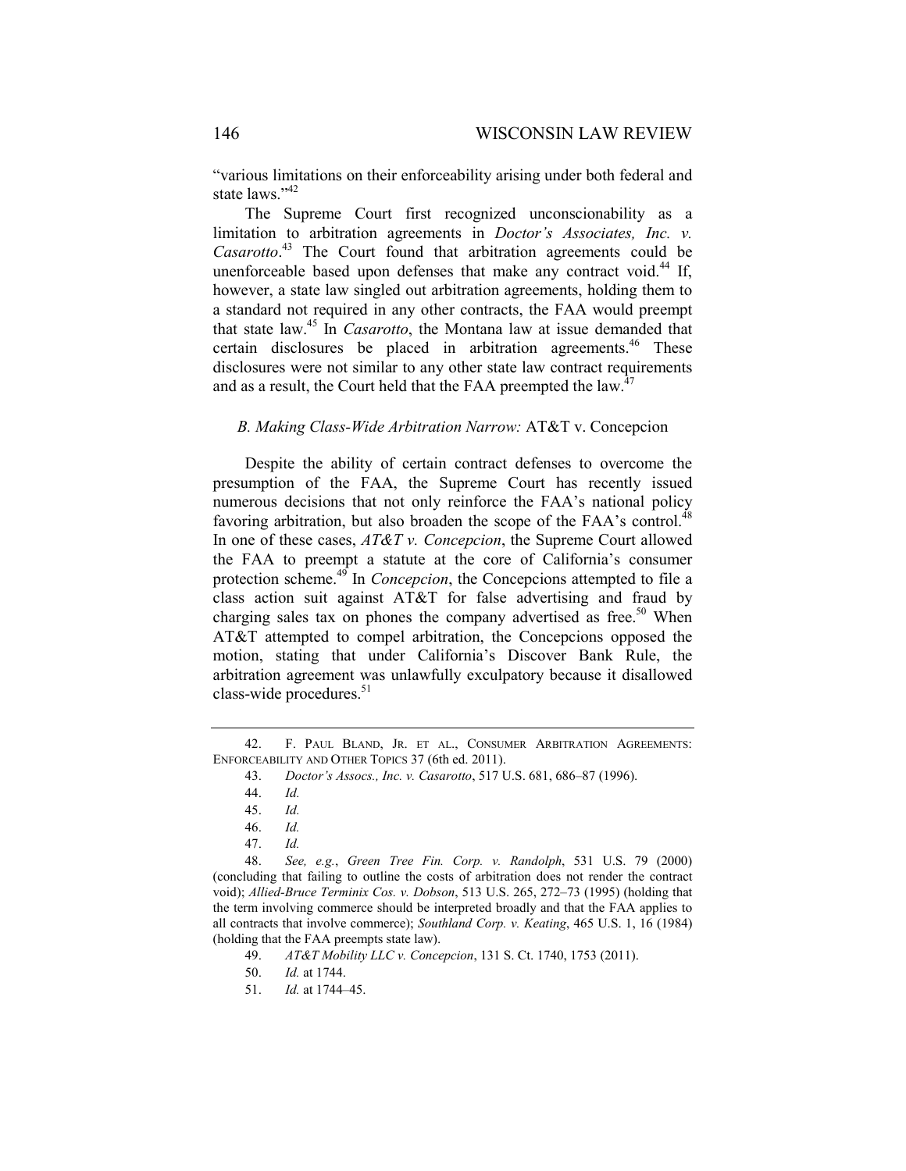"various limitations on their enforceability arising under both federal and state laws."<sup>42</sup>

The Supreme Court first recognized unconscionability as a limitation to arbitration agreements in *Doctor's Associates, Inc. v. Casarotto*. 43 The Court found that arbitration agreements could be unenforceable based upon defenses that make any contract void.<sup>44</sup> If, however, a state law singled out arbitration agreements, holding them to a standard not required in any other contracts, the FAA would preempt that state law.45 In *Casarotto*, the Montana law at issue demanded that certain disclosures be placed in arbitration agreements.<sup>46</sup> These disclosures were not similar to any other state law contract requirements and as a result, the Court held that the FAA preempted the law.<sup>47</sup>

### *B. Making Class-Wide Arbitration Narrow:* AT&T v. Concepcion

Despite the ability of certain contract defenses to overcome the presumption of the FAA, the Supreme Court has recently issued numerous decisions that not only reinforce the FAA's national policy favoring arbitration, but also broaden the scope of the FAA's control.<sup>48</sup> In one of these cases, *AT&T v. Concepcion*, the Supreme Court allowed the FAA to preempt a statute at the core of California's consumer protection scheme.<sup>49</sup> In *Concepcion*, the Concepcions attempted to file a class action suit against AT&T for false advertising and fraud by charging sales tax on phones the company advertised as free.<sup>50</sup> When AT&T attempted to compel arbitration, the Concepcions opposed the motion, stating that under California's Discover Bank Rule, the arbitration agreement was unlawfully exculpatory because it disallowed class-wide procedures. $51$ 

 48. *See, e.g.*, *Green Tree Fin. Corp. v. Randolph*, 531 U.S. 79 (2000) (concluding that failing to outline the costs of arbitration does not render the contract void); *Allied-Bruce Terminix Cos. v. Dobson*, 513 U.S. 265, 272–73 (1995) (holding that the term involving commerce should be interpreted broadly and that the FAA applies to all contracts that involve commerce); *Southland Corp. v. Keating*, 465 U.S. 1, 16 (1984) (holding that the FAA preempts state law).

 <sup>42.</sup> F. PAUL BLAND, JR. ET AL., CONSUMER ARBITRATION AGREEMENTS: ENFORCEABILITY AND OTHER TOPICS 37 (6th ed. 2011).

 <sup>43.</sup> *Doctor's Assocs., Inc. v. Casarotto*, 517 U.S. 681, 686–87 (1996).

 <sup>44.</sup> *Id.* 

<sup>45.</sup> *Id.* 

<sup>46.</sup> *Id.* 

<sup>47.</sup> *Id.* 

 <sup>49.</sup> *AT&T Mobility LLC v. Concepcion*, 131 S. Ct. 1740, 1753 (2011).

 <sup>50.</sup> *Id.* at 1744.

 <sup>51.</sup> *Id.* at 1744–45.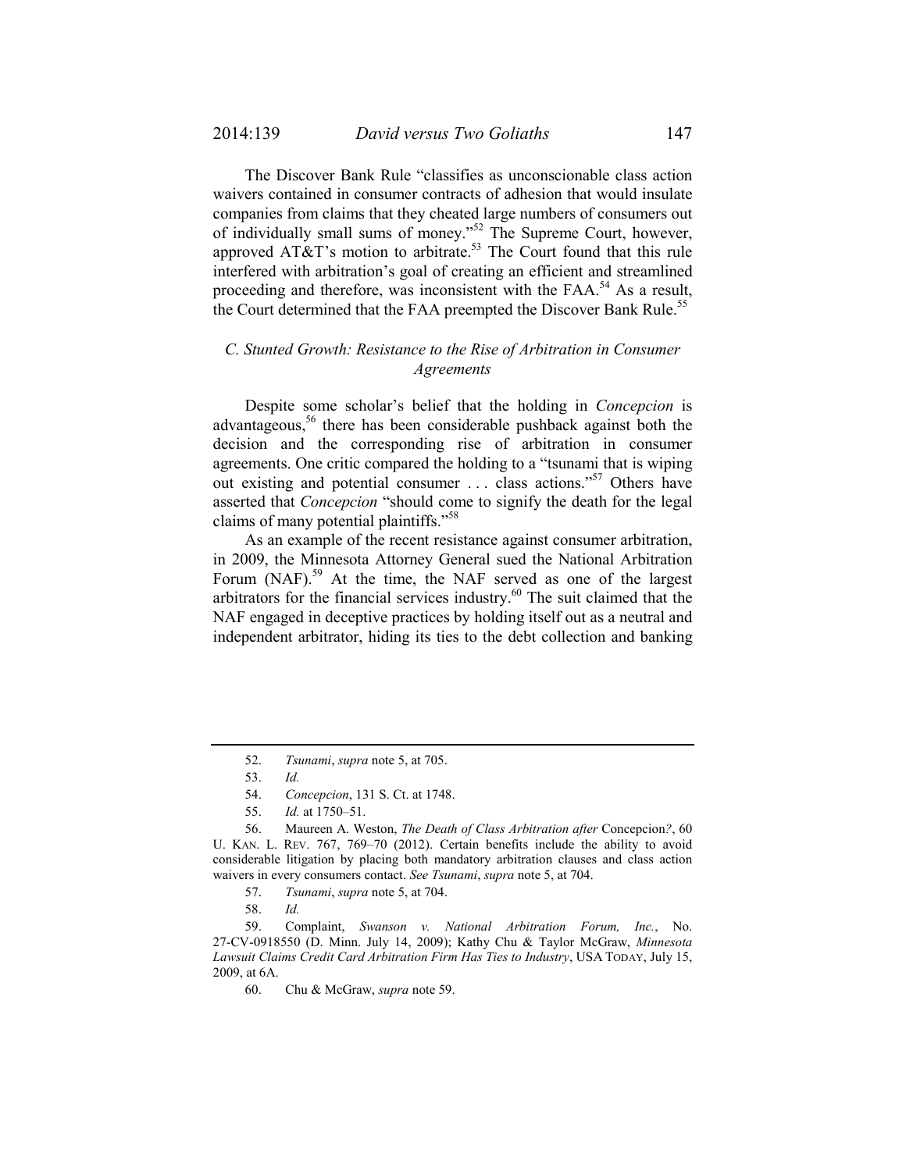The Discover Bank Rule "classifies as unconscionable class action waivers contained in consumer contracts of adhesion that would insulate companies from claims that they cheated large numbers of consumers out of individually small sums of money."<sup>52</sup> The Supreme Court, however, approved AT&T's motion to arbitrate.<sup>53</sup> The Court found that this rule interfered with arbitration's goal of creating an efficient and streamlined proceeding and therefore, was inconsistent with the  $FAA<sup>54</sup>$  As a result, the Court determined that the FAA preempted the Discover Bank Rule.<sup>55</sup>

## *C. Stunted Growth: Resistance to the Rise of Arbitration in Consumer Agreements*

Despite some scholar's belief that the holding in *Concepcion* is advantageous.<sup>56</sup> there has been considerable pushback against both the decision and the corresponding rise of arbitration in consumer agreements. One critic compared the holding to a "tsunami that is wiping out existing and potential consumer . . . class actions."57 Others have asserted that *Concepcion* "should come to signify the death for the legal claims of many potential plaintiffs."58

As an example of the recent resistance against consumer arbitration, in 2009, the Minnesota Attorney General sued the National Arbitration Forum (NAF).<sup>59</sup> At the time, the NAF served as one of the largest arbitrators for the financial services industry.60 The suit claimed that the NAF engaged in deceptive practices by holding itself out as a neutral and independent arbitrator, hiding its ties to the debt collection and banking

 <sup>52.</sup> *Tsunami*, *supra* note 5, at 705.

 <sup>53.</sup> *Id.*

 <sup>54.</sup> *Concepcion*, 131 S. Ct. at 1748.

 <sup>55.</sup> *Id.* at 1750–51.

 <sup>56.</sup> Maureen A. Weston, *The Death of Class Arbitration after* Concepcion*?*, 60 U. KAN. L. REV. 767, 769–70 (2012). Certain benefits include the ability to avoid considerable litigation by placing both mandatory arbitration clauses and class action waivers in every consumers contact. *See Tsunami*, *supra* note 5, at 704.

 <sup>57.</sup> *Tsunami*, *supra* note 5, at 704.

 <sup>58.</sup> *Id.*

 <sup>59.</sup> Complaint, *Swanson v. National Arbitration Forum, Inc.*, No. 27-CV-0918550 (D. Minn. July 14, 2009); Kathy Chu & Taylor McGraw, *Minnesota Lawsuit Claims Credit Card Arbitration Firm Has Ties to Industry*, USA TODAY, July 15, 2009, at 6A.

 <sup>60.</sup> Chu & McGraw, *supra* note 59.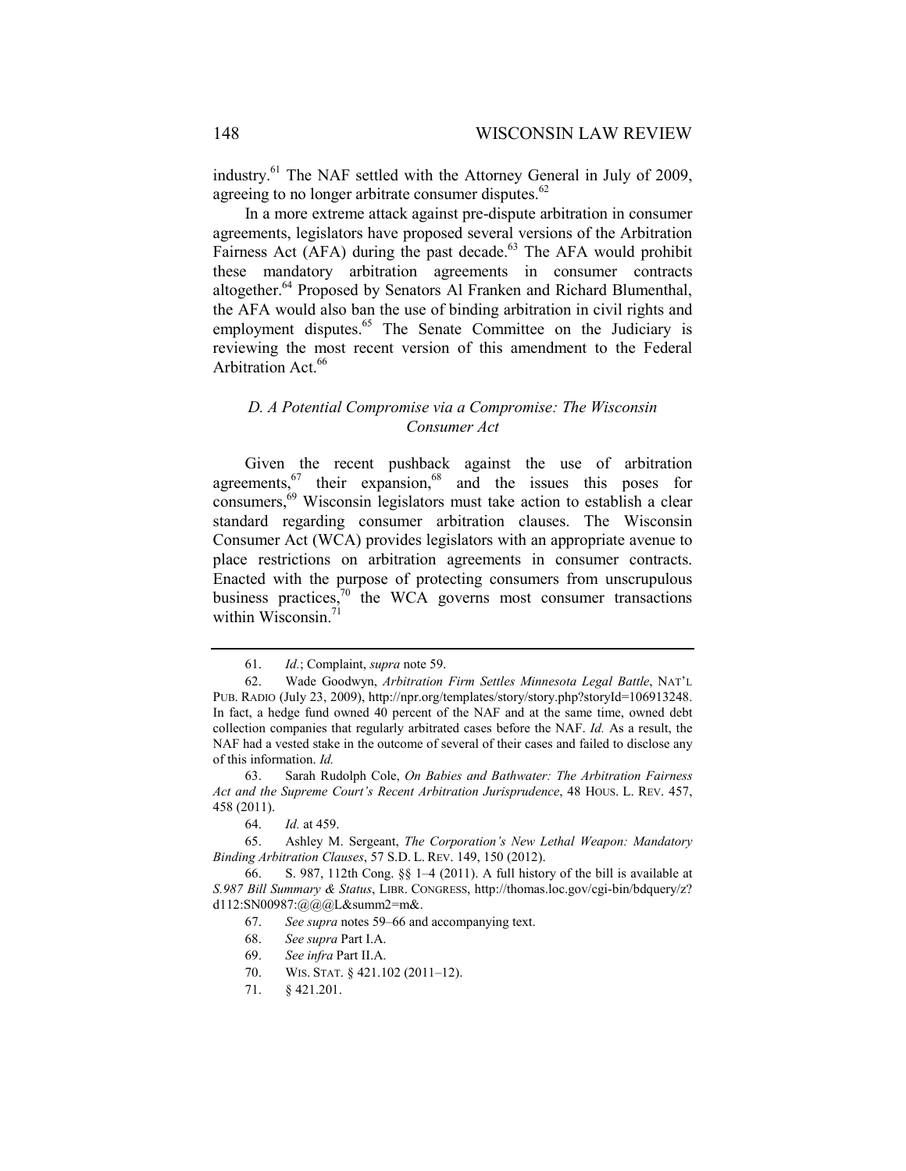industry.61 The NAF settled with the Attorney General in July of 2009, agreeing to no longer arbitrate consumer disputes. $62$ 

In a more extreme attack against pre-dispute arbitration in consumer agreements, legislators have proposed several versions of the Arbitration Fairness Act ( $AFA$ ) during the past decade.<sup>63</sup> The AFA would prohibit these mandatory arbitration agreements in consumer contracts altogether.<sup>64</sup> Proposed by Senators Al Franken and Richard Blumenthal, the AFA would also ban the use of binding arbitration in civil rights and employment disputes.<sup>65</sup> The Senate Committee on the Judiciary is reviewing the most recent version of this amendment to the Federal Arbitration Act.<sup>66</sup>

## *D. A Potential Compromise via a Compromise: The Wisconsin Consumer Act*

Given the recent pushback against the use of arbitration agreements, $\frac{67}{2}$  their expansion,  $68$  and the issues this poses for consumers,69 Wisconsin legislators must take action to establish a clear standard regarding consumer arbitration clauses. The Wisconsin Consumer Act (WCA) provides legislators with an appropriate avenue to place restrictions on arbitration agreements in consumer contracts. Enacted with the purpose of protecting consumers from unscrupulous business practices, $\frac{70}{10}$  the WCA governs most consumer transactions within Wisconsin.<sup>71</sup>

 <sup>61.</sup> *Id.*; Complaint, *supra* note 59.

 <sup>62.</sup> Wade Goodwyn, *Arbitration Firm Settles Minnesota Legal Battle*, NAT'L PUB. RADIO (July 23, 2009), http://npr.org/templates/story/story.php?storyId=106913248. In fact, a hedge fund owned 40 percent of the NAF and at the same time, owned debt collection companies that regularly arbitrated cases before the NAF. *Id.* As a result, the NAF had a vested stake in the outcome of several of their cases and failed to disclose any of this information. *Id.*

 <sup>63.</sup> Sarah Rudolph Cole, *On Babies and Bathwater: The Arbitration Fairness Act and the Supreme Court's Recent Arbitration Jurisprudence*, 48 HOUS. L. REV. 457, 458 (2011).

 <sup>64.</sup> *Id.* at 459.

 <sup>65.</sup> Ashley M. Sergeant, *The Corporation's New Lethal Weapon: Mandatory Binding Arbitration Clauses*, 57 S.D. L. REV. 149, 150 (2012).

 <sup>66.</sup> S. 987, 112th Cong. §§ 1–4 (2011). A full history of the bill is available at *S.987 Bill Summary & Status*, LIBR. CONGRESS, http://thomas.loc.gov/cgi-bin/bdquery/z? d112:SN00987:@@@L&summ2=m&.

 <sup>67.</sup> *See supra* notes 59–66 and accompanying text.

 <sup>68.</sup> *See supra* Part I.A.

 <sup>69.</sup> *See infra* Part II.A.

<sup>70.</sup> WIS. STAT. § 421.102 (2011-12).

 <sup>71. § 421.201.</sup>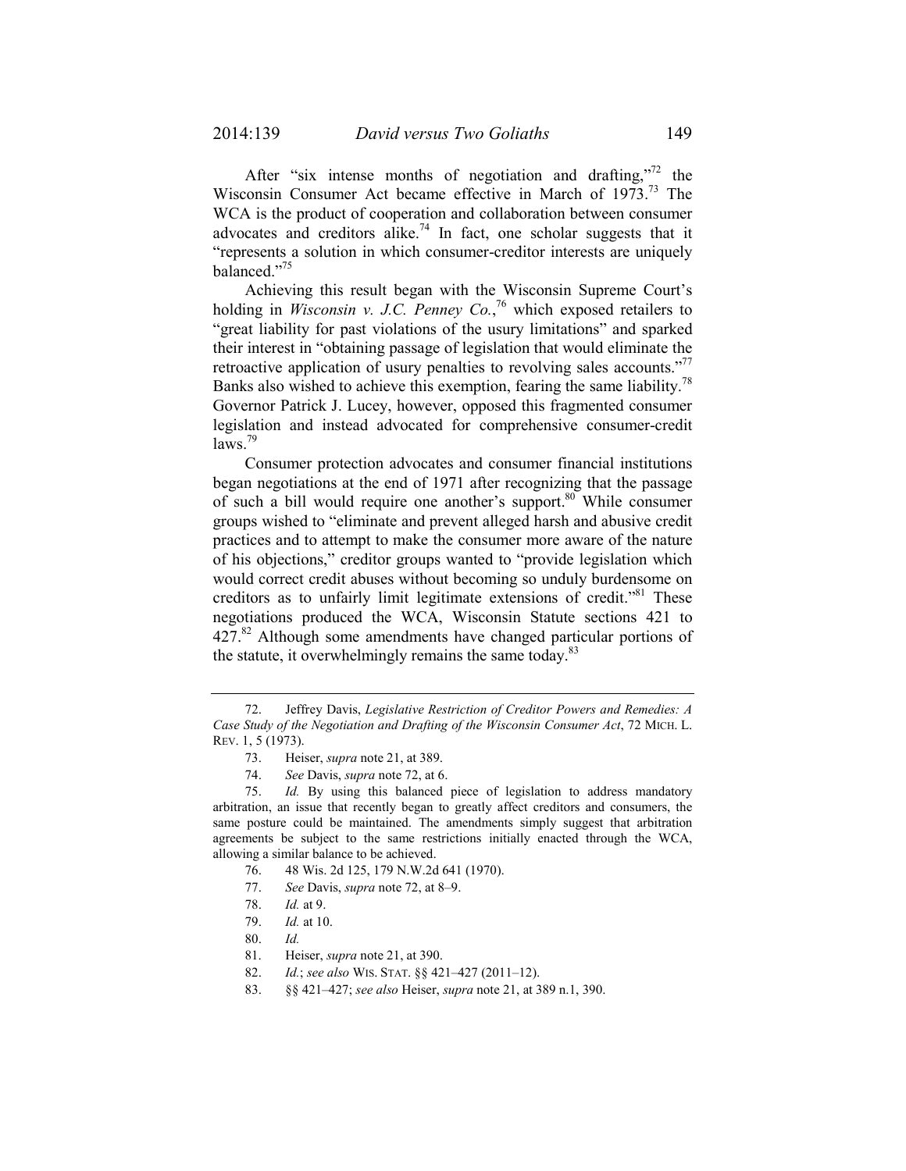After "six intense months of negotiation and drafting,"<sup>72</sup> the Wisconsin Consumer Act became effective in March of 1973.<sup>73</sup> The WCA is the product of cooperation and collaboration between consumer advocates and creditors alike.<sup>74</sup> In fact, one scholar suggests that it "represents a solution in which consumer-creditor interests are uniquely balanced."75

Achieving this result began with the Wisconsin Supreme Court's holding in *Wisconsin v. J.C. Penney Co.*, 76 which exposed retailers to "great liability for past violations of the usury limitations" and sparked their interest in "obtaining passage of legislation that would eliminate the retroactive application of usury penalties to revolving sales accounts."<sup>77</sup> Banks also wished to achieve this exemption, fearing the same liability.<sup>78</sup> Governor Patrick J. Lucey, however, opposed this fragmented consumer legislation and instead advocated for comprehensive consumer-credit  $\text{laws}$ <sup>79</sup>

Consumer protection advocates and consumer financial institutions began negotiations at the end of 1971 after recognizing that the passage of such a bill would require one another's support.<sup>80</sup> While consumer groups wished to "eliminate and prevent alleged harsh and abusive credit practices and to attempt to make the consumer more aware of the nature of his objections," creditor groups wanted to "provide legislation which would correct credit abuses without becoming so unduly burdensome on creditors as to unfairly limit legitimate extensions of credit."<sup>81</sup> These negotiations produced the WCA, Wisconsin Statute sections 421 to  $427<sup>82</sup>$  Although some amendments have changed particular portions of the statute, it overwhelmingly remains the same today.<sup>83</sup>

- 77. *See* Davis, *supra* note 72, at 8–9.
- 78. *Id.* at 9.

 <sup>72.</sup> Jeffrey Davis, *Legislative Restriction of Creditor Powers and Remedies: A Case Study of the Negotiation and Drafting of the Wisconsin Consumer Act*, 72 MICH. L. REV. 1, 5 (1973).

 <sup>73.</sup> Heiser, *supra* note 21, at 389.

 <sup>74.</sup> *See* Davis, *supra* note 72, at 6.

 <sup>75.</sup> *Id.* By using this balanced piece of legislation to address mandatory arbitration, an issue that recently began to greatly affect creditors and consumers, the same posture could be maintained. The amendments simply suggest that arbitration agreements be subject to the same restrictions initially enacted through the WCA, allowing a similar balance to be achieved.

 <sup>76. 48</sup> Wis. 2d 125, 179 N.W.2d 641 (1970).

 <sup>79.</sup> *Id.* at 10.

 <sup>80.</sup> *Id.*

 <sup>81.</sup> Heiser, *supra* note 21, at 390.

 <sup>82.</sup> *Id.*; *see also* WIS. STAT. §§ 421–427 (2011–12).

 <sup>83. §§ 421–427;</sup> *see also* Heiser, *supra* note 21, at 389 n.1, 390.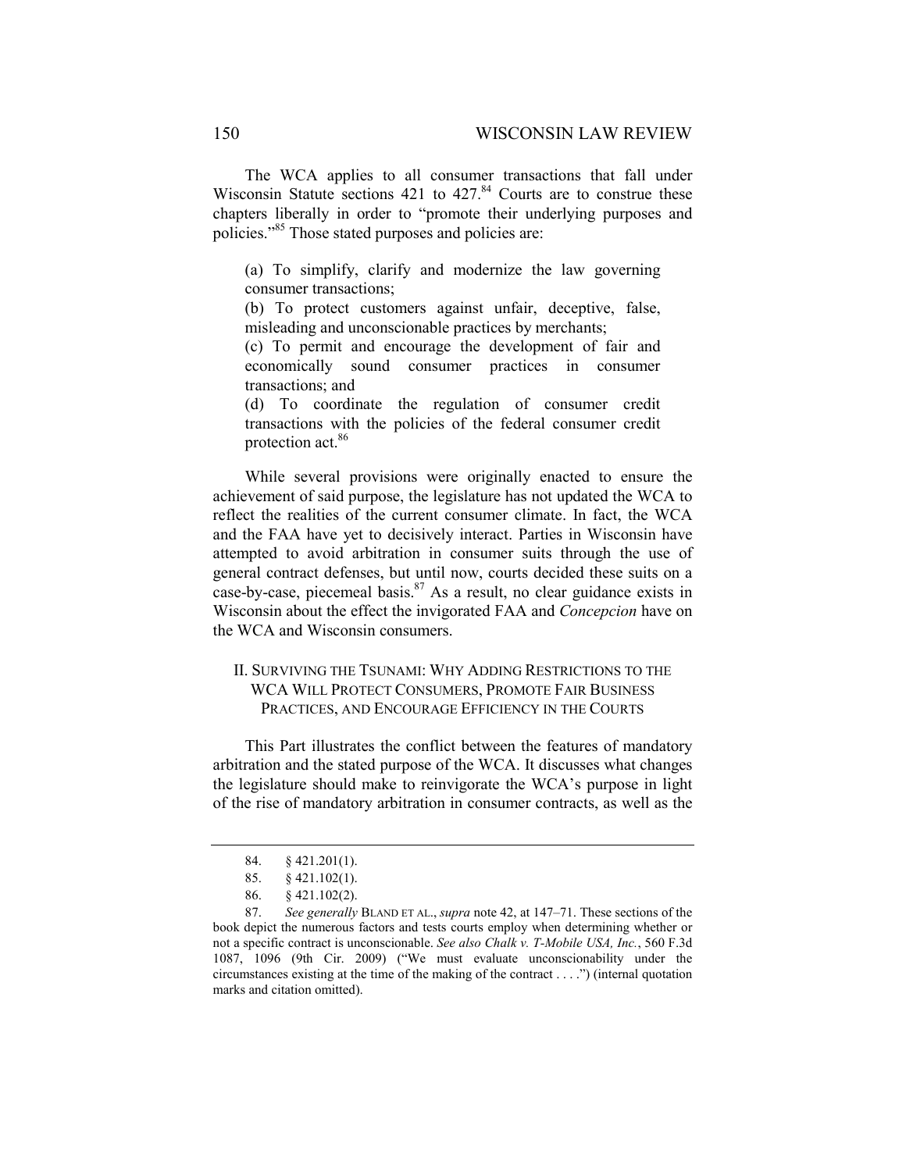The WCA applies to all consumer transactions that fall under Wisconsin Statute sections  $421$  to  $427<sup>84</sup>$  Courts are to construe these chapters liberally in order to "promote their underlying purposes and policies."85 Those stated purposes and policies are:

(a) To simplify, clarify and modernize the law governing consumer transactions;

(b) To protect customers against unfair, deceptive, false, misleading and unconscionable practices by merchants;

(c) To permit and encourage the development of fair and economically sound consumer practices in consumer transactions; and

(d) To coordinate the regulation of consumer credit transactions with the policies of the federal consumer credit protection act.86

While several provisions were originally enacted to ensure the achievement of said purpose, the legislature has not updated the WCA to reflect the realities of the current consumer climate. In fact, the WCA and the FAA have yet to decisively interact. Parties in Wisconsin have attempted to avoid arbitration in consumer suits through the use of general contract defenses, but until now, courts decided these suits on a case-by-case, piecemeal basis. $87$  As a result, no clear guidance exists in Wisconsin about the effect the invigorated FAA and *Concepcion* have on the WCA and Wisconsin consumers.

## II. SURVIVING THE TSUNAMI: WHY ADDING RESTRICTIONS TO THE WCA WILL PROTECT CONSUMERS, PROMOTE FAIR BUSINESS PRACTICES, AND ENCOURAGE EFFICIENCY IN THE COURTS

This Part illustrates the conflict between the features of mandatory arbitration and the stated purpose of the WCA. It discusses what changes the legislature should make to reinvigorate the WCA's purpose in light of the rise of mandatory arbitration in consumer contracts, as well as the

 <sup>84. § 421.201(1).</sup> 

 <sup>85. § 421.102(1).</sup> 

 <sup>86. § 421.102(2).</sup> 

 <sup>87.</sup> *See generally* BLAND ET AL., *supra* note 42, at 147–71. These sections of the book depict the numerous factors and tests courts employ when determining whether or not a specific contract is unconscionable. *See also Chalk v. T-Mobile USA, Inc.*, 560 F.3d 1087, 1096 (9th Cir. 2009) ("We must evaluate unconscionability under the circumstances existing at the time of the making of the contract . . . .") (internal quotation marks and citation omitted).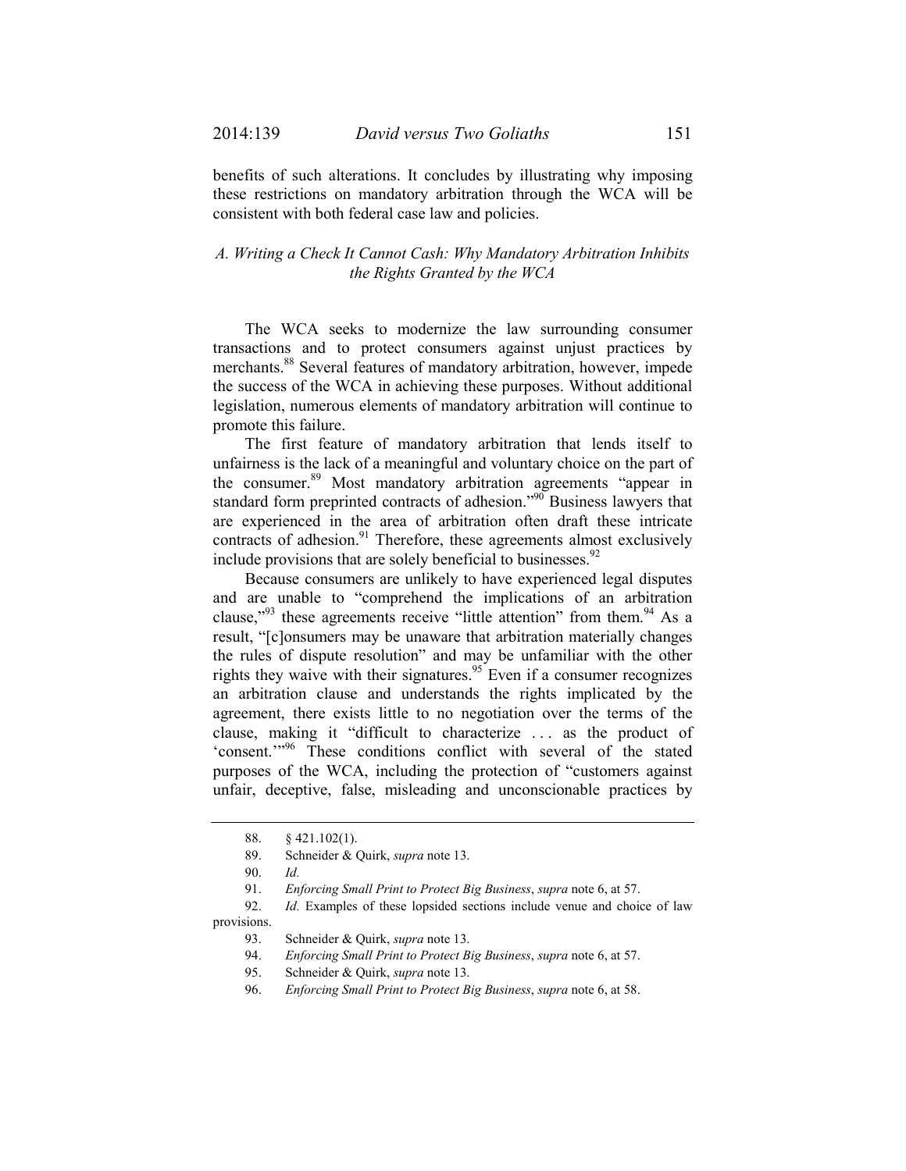benefits of such alterations. It concludes by illustrating why imposing these restrictions on mandatory arbitration through the WCA will be consistent with both federal case law and policies.

## *A. Writing a Check It Cannot Cash: Why Mandatory Arbitration Inhibits the Rights Granted by the WCA*

The WCA seeks to modernize the law surrounding consumer transactions and to protect consumers against unjust practices by merchants.88 Several features of mandatory arbitration, however, impede the success of the WCA in achieving these purposes. Without additional legislation, numerous elements of mandatory arbitration will continue to promote this failure.

The first feature of mandatory arbitration that lends itself to unfairness is the lack of a meaningful and voluntary choice on the part of the consumer.<sup>89</sup> Most mandatory arbitration agreements "appear in standard form preprinted contracts of adhesion."<sup>90</sup> Business lawyers that are experienced in the area of arbitration often draft these intricate contracts of adhesion. $91$  Therefore, these agreements almost exclusively include provisions that are solely beneficial to businesses.  $92$ 

Because consumers are unlikely to have experienced legal disputes and are unable to "comprehend the implications of an arbitration clause,"<sup>93</sup> these agreements receive "little attention" from them.<sup>94</sup> As a result, "[c]onsumers may be unaware that arbitration materially changes the rules of dispute resolution" and may be unfamiliar with the other rights they waive with their signatures.<sup>95</sup> Even if a consumer recognizes an arbitration clause and understands the rights implicated by the agreement, there exists little to no negotiation over the terms of the clause, making it "difficult to characterize . . . as the product of 'consent.'"<sup>96</sup> These conditions conflict with several of the stated purposes of the WCA, including the protection of "customers against unfair, deceptive, false, misleading and unconscionable practices by

 <sup>88. § 421.102(1).</sup> 

 <sup>89.</sup> Schneider & Quirk, *supra* note 13.

 <sup>90.</sup> *Id.*

 <sup>91.</sup> *Enforcing Small Print to Protect Big Business*, *supra* note 6, at 57.

 <sup>92.</sup> *Id.* Examples of these lopsided sections include venue and choice of law provisions.

 <sup>93.</sup> Schneider & Quirk, *supra* note 13.

 <sup>94.</sup> *Enforcing Small Print to Protect Big Business*, *supra* note 6, at 57.

 <sup>95.</sup> Schneider & Quirk, *supra* note 13.

 <sup>96.</sup> *Enforcing Small Print to Protect Big Business*, *supra* note 6, at 58.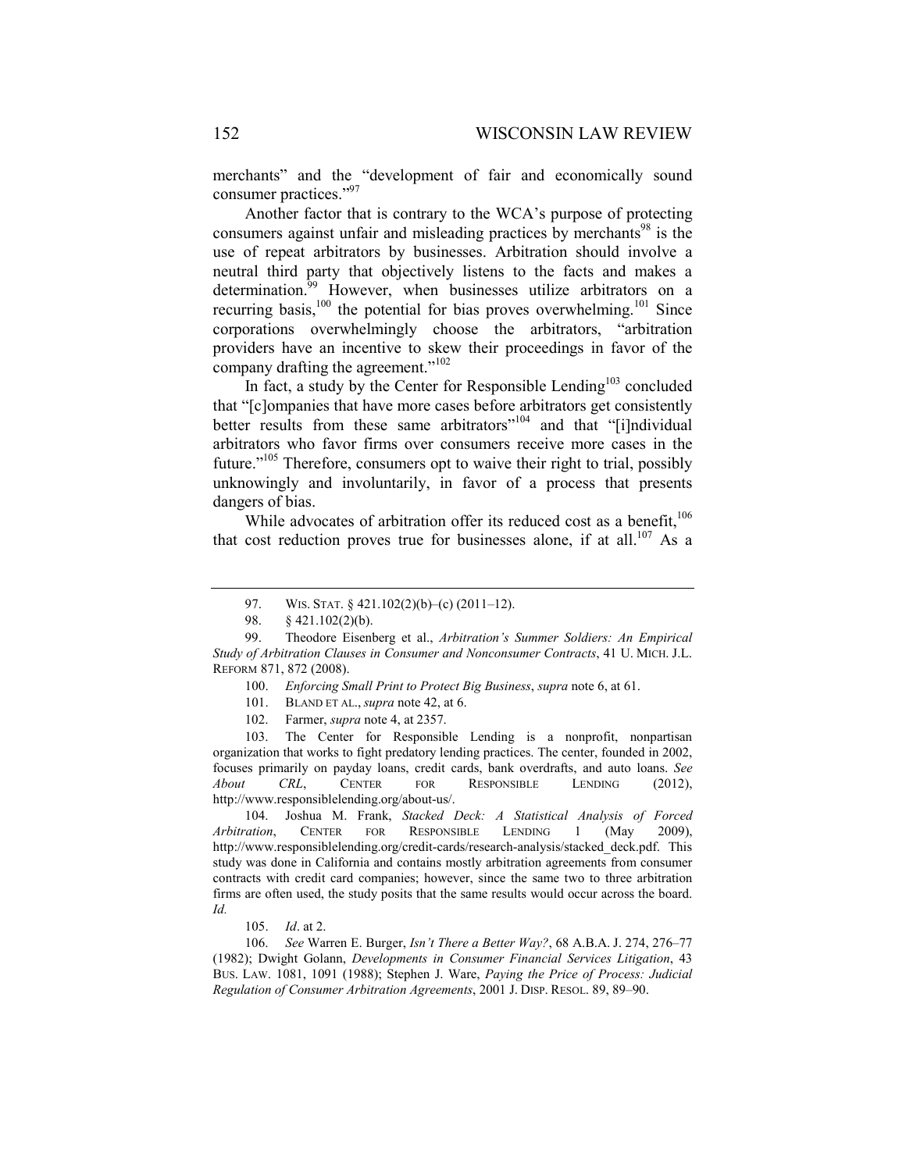merchants" and the "development of fair and economically sound consumer practices."<sup>97</sup>

Another factor that is contrary to the WCA's purpose of protecting consumers against unfair and misleading practices by merchants<sup>98</sup> is the use of repeat arbitrators by businesses. Arbitration should involve a neutral third party that objectively listens to the facts and makes a determination. $\frac{99}{9}$  However, when businesses utilize arbitrators on a recurring basis,<sup>100</sup> the potential for bias proves overwhelming.<sup>101</sup> Since corporations overwhelmingly choose the arbitrators, "arbitration providers have an incentive to skew their proceedings in favor of the company drafting the agreement."<sup>102</sup>

In fact, a study by the Center for Responsible Lending $103$  concluded that "[c]ompanies that have more cases before arbitrators get consistently better results from these same arbitrators"<sup>104</sup> and that "[i]ndividual arbitrators who favor firms over consumers receive more cases in the future."<sup>105</sup> Therefore, consumers opt to waive their right to trial, possibly unknowingly and involuntarily, in favor of a process that presents dangers of bias.

While advocates of arbitration offer its reduced cost as a benefit, $106$ that cost reduction proves true for businesses alone, if at all.<sup>107</sup> As a

 103. The Center for Responsible Lending is a nonprofit, nonpartisan organization that works to fight predatory lending practices. The center, founded in 2002, focuses primarily on payday loans, credit cards, bank overdrafts, and auto loans. *See About CRL*, CENTER FOR RESPONSIBLE LENDING (2012), http://www.responsiblelending.org/about-us/.

 104. Joshua M. Frank, *Stacked Deck: A Statistical Analysis of Forced Arbitration*, CENTER FOR RESPONSIBLE LENDING 1 (May 2009), http://www.responsiblelending.org/credit-cards/research-analysis/stacked\_deck.pdf. This study was done in California and contains mostly arbitration agreements from consumer contracts with credit card companies; however, since the same two to three arbitration firms are often used, the study posits that the same results would occur across the board. *Id.*

105. *Id*. at 2.

 106. *See* Warren E. Burger, *Isn't There a Better Way?*, 68 A.B.A. J. 274, 276–77 (1982); Dwight Golann, *Developments in Consumer Financial Services Litigation*, 43 BUS. LAW. 1081, 1091 (1988); Stephen J. Ware, *Paying the Price of Process: Judicial Regulation of Consumer Arbitration Agreements*, 2001 J. DISP. RESOL. 89, 89–90.

<sup>97.</sup> WIS. STAT. § 421.102(2)(b)–(c) (2011–12).

 <sup>98. § 421.102(2)(</sup>b).

 <sup>99.</sup> Theodore Eisenberg et al., *Arbitration's Summer Soldiers: An Empirical Study of Arbitration Clauses in Consumer and Nonconsumer Contracts*, 41 U. MICH. J.L. REFORM 871, 872 (2008).

 <sup>100.</sup> *Enforcing Small Print to Protect Big Business*, *supra* note 6, at 61.

 <sup>101.</sup> BLAND ET AL., *supra* note 42, at 6.

 <sup>102.</sup> Farmer, *supra* note 4, at 2357.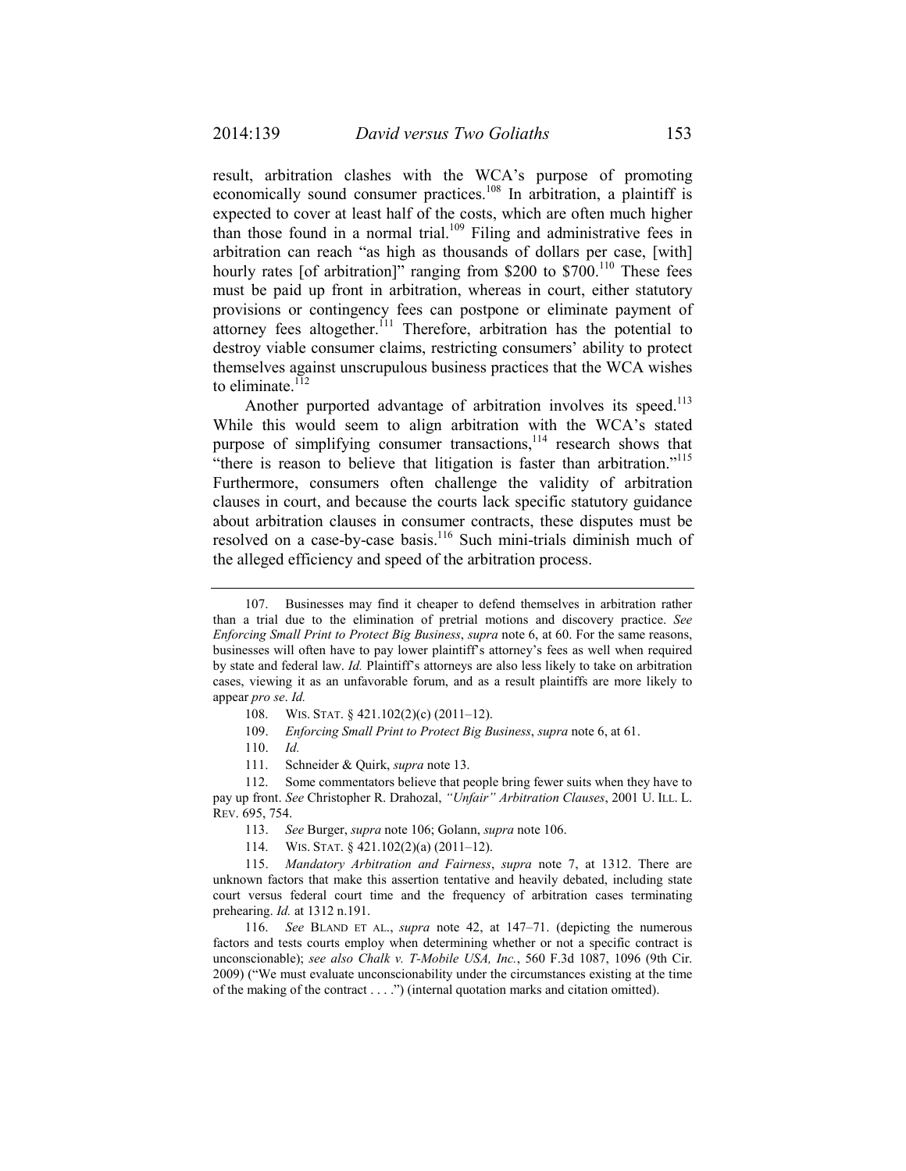result, arbitration clashes with the WCA's purpose of promoting economically sound consumer practices.<sup>108</sup> In arbitration, a plaintiff is expected to cover at least half of the costs, which are often much higher than those found in a normal trial.<sup>109</sup> Filing and administrative fees in arbitration can reach "as high as thousands of dollars per case, [with] hourly rates [of arbitration]" ranging from \$200 to  $$700<sup>110</sup>$  These fees must be paid up front in arbitration, whereas in court, either statutory provisions or contingency fees can postpone or eliminate payment of attorney fees altogether.<sup> $111$ </sup> Therefore, arbitration has the potential to destroy viable consumer claims, restricting consumers' ability to protect themselves against unscrupulous business practices that the WCA wishes to eliminate. $112$ 

Another purported advantage of arbitration involves its speed.<sup>113</sup> While this would seem to align arbitration with the WCA's stated purpose of simplifying consumer transactions, $114$  research shows that "there is reason to believe that litigation is faster than arbitration."<sup>115</sup> Furthermore, consumers often challenge the validity of arbitration clauses in court, and because the courts lack specific statutory guidance about arbitration clauses in consumer contracts, these disputes must be resolved on a case-by-case basis.<sup>116</sup> Such mini-trials diminish much of the alleged efficiency and speed of the arbitration process.

 <sup>107.</sup> Businesses may find it cheaper to defend themselves in arbitration rather than a trial due to the elimination of pretrial motions and discovery practice. *See Enforcing Small Print to Protect Big Business*, *supra* note 6, at 60. For the same reasons, businesses will often have to pay lower plaintiff's attorney's fees as well when required by state and federal law. *Id.* Plaintiff's attorneys are also less likely to take on arbitration cases, viewing it as an unfavorable forum, and as a result plaintiffs are more likely to appear *pro se*. *Id.*

 <sup>108.</sup> WIS. STAT. § 421.102(2)(c) (2011–12).

 <sup>109.</sup> *Enforcing Small Print to Protect Big Business*, *supra* note 6, at 61.

 <sup>110.</sup> *Id.*

 <sup>111.</sup> Schneider & Quirk, *supra* note 13.

 <sup>112.</sup> Some commentators believe that people bring fewer suits when they have to pay up front. *See* Christopher R. Drahozal, *"Unfair" Arbitration Clauses*, 2001 U. ILL. L. REV. 695, 754.

 <sup>113.</sup> *See* Burger, *supra* note 106; Golann, *supra* note 106.

 <sup>114.</sup> WIS. STAT. § 421.102(2)(a) (2011–12).

 <sup>115.</sup> *Mandatory Arbitration and Fairness*, *supra* note 7, at 1312. There are unknown factors that make this assertion tentative and heavily debated, including state court versus federal court time and the frequency of arbitration cases terminating prehearing. *Id.* at 1312 n.191.

 <sup>116.</sup> *See* BLAND ET AL., *supra* note 42, at 147–71. (depicting the numerous factors and tests courts employ when determining whether or not a specific contract is unconscionable); *see also Chalk v. T-Mobile USA, Inc.*, 560 F.3d 1087, 1096 (9th Cir. 2009) ("We must evaluate unconscionability under the circumstances existing at the time of the making of the contract . . . .") (internal quotation marks and citation omitted).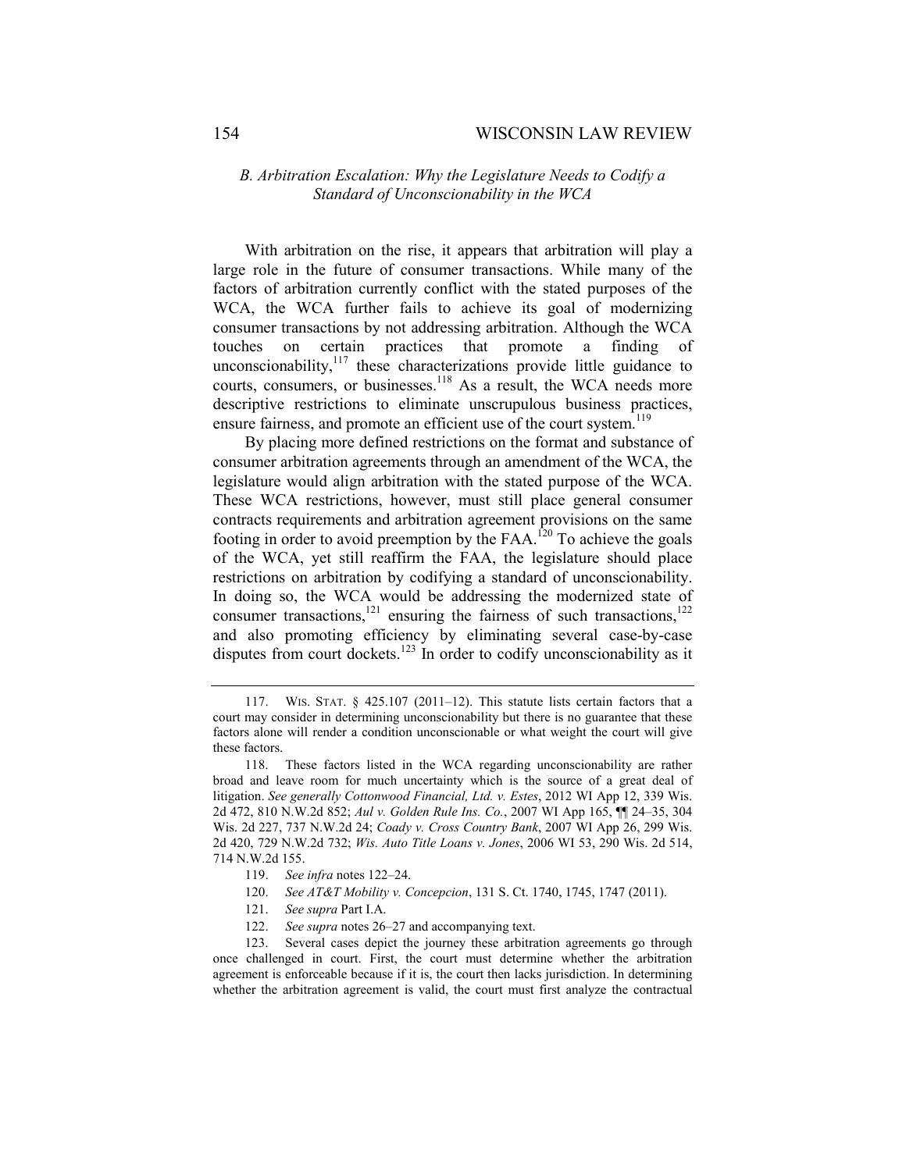## *B. Arbitration Escalation: Why the Legislature Needs to Codify a Standard of Unconscionability in the WCA*

With arbitration on the rise, it appears that arbitration will play a large role in the future of consumer transactions. While many of the factors of arbitration currently conflict with the stated purposes of the WCA, the WCA further fails to achieve its goal of modernizing consumer transactions by not addressing arbitration. Although the WCA touches on certain practices that promote a finding of unconscionability,<sup>117</sup> these characterizations provide little guidance to courts, consumers, or businesses.<sup>118</sup> As a result, the WCA needs more descriptive restrictions to eliminate unscrupulous business practices, ensure fairness, and promote an efficient use of the court system.<sup>119</sup>

By placing more defined restrictions on the format and substance of consumer arbitration agreements through an amendment of the WCA, the legislature would align arbitration with the stated purpose of the WCA. These WCA restrictions, however, must still place general consumer contracts requirements and arbitration agreement provisions on the same footing in order to avoid preemption by the  $FAA$ .<sup>120</sup> To achieve the goals of the WCA, yet still reaffirm the FAA, the legislature should place restrictions on arbitration by codifying a standard of unconscionability. In doing so, the WCA would be addressing the modernized state of consumer transactions,<sup>121</sup> ensuring the fairness of such transactions, $122$ and also promoting efficiency by eliminating several case-by-case disputes from court dockets.<sup>123</sup> In order to codify unconscionability as it

- 119. *See infra* notes 122–24.
- 120. *See AT&T Mobility v. Concepcion*, 131 S. Ct. 1740, 1745, 1747 (2011).
- 121. *See supra* Part I.A.
- 122. *See supra* notes 26–27 and accompanying text.

 123. Several cases depict the journey these arbitration agreements go through once challenged in court. First, the court must determine whether the arbitration agreement is enforceable because if it is, the court then lacks jurisdiction. In determining whether the arbitration agreement is valid, the court must first analyze the contractual

 <sup>117.</sup> WIS. STAT. § 425.107 (2011–12). This statute lists certain factors that a court may consider in determining unconscionability but there is no guarantee that these factors alone will render a condition unconscionable or what weight the court will give these factors.

 <sup>118.</sup> These factors listed in the WCA regarding unconscionability are rather broad and leave room for much uncertainty which is the source of a great deal of litigation. *See generally Cottonwood Financial, Ltd. v. Estes*, 2012 WI App 12, 339 Wis. 2d 472, 810 N.W.2d 852; *Aul v. Golden Rule Ins. Co.*, 2007 WI App 165, ¶¶ 24–35, 304 Wis. 2d 227, 737 N.W.2d 24; *Coady v. Cross Country Bank*, 2007 WI App 26, 299 Wis. 2d 420, 729 N.W.2d 732; *Wis. Auto Title Loans v. Jones*, 2006 WI 53, 290 Wis. 2d 514, 714 N.W.2d 155.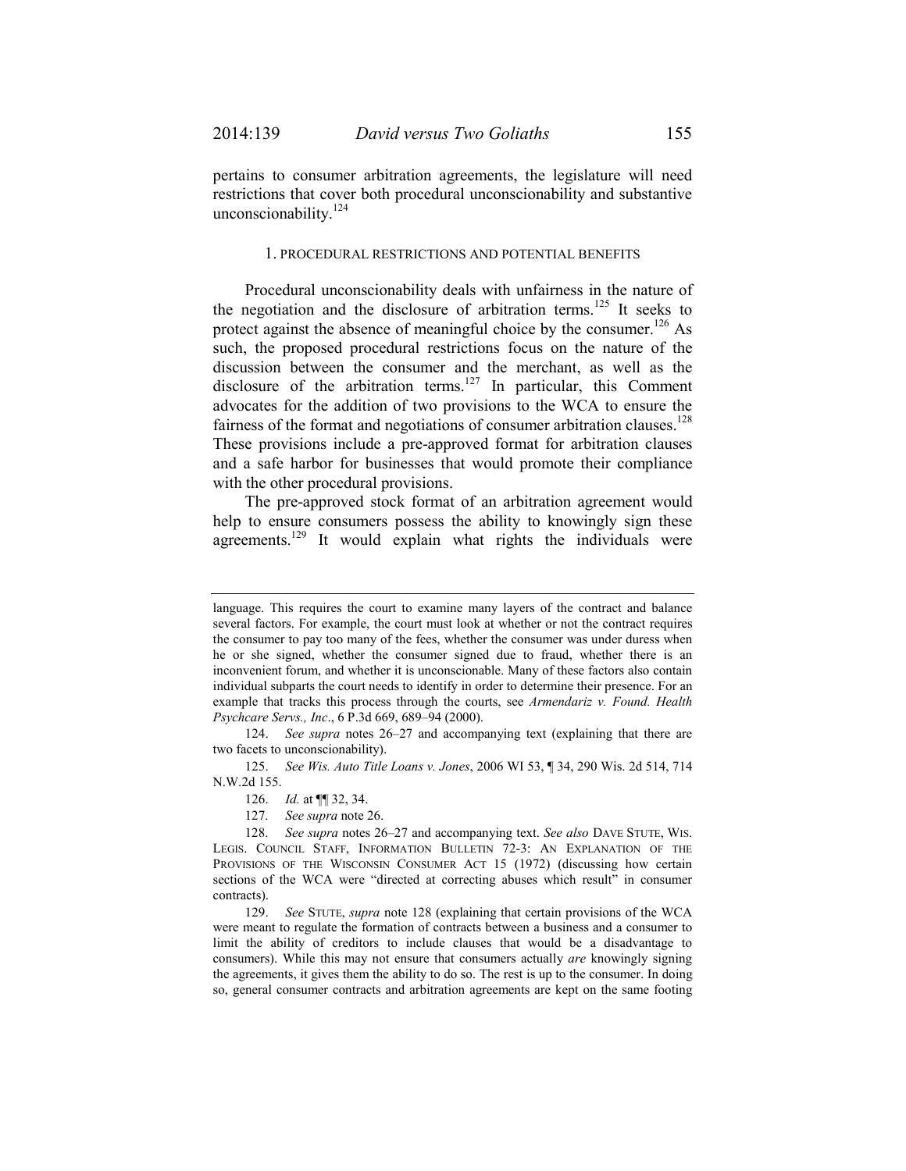pertains to consumer arbitration agreements, the legislature will need restrictions that cover both procedural unconscionability and substantive unconscionability.<sup>124</sup>

#### 1. PROCEDURAL RESTRICTIONS AND POTENTIAL BENEFITS

Procedural unconscionability deals with unfairness in the nature of the negotiation and the disclosure of arbitration terms.<sup>125</sup> It seeks to protect against the absence of meaningful choice by the consumer.<sup>126</sup> As such, the proposed procedural restrictions focus on the nature of the discussion between the consumer and the merchant, as well as the disclosure of the arbitration terms.<sup>127</sup> In particular, this Comment advocates for the addition of two provisions to the WCA to ensure the fairness of the format and negotiations of consumer arbitration clauses.<sup>128</sup> These provisions include a pre-approved format for arbitration clauses and a safe harbor for businesses that would promote their compliance with the other procedural provisions.

The pre-approved stock format of an arbitration agreement would help to ensure consumers possess the ability to knowingly sign these agreements.<sup>129</sup> It would explain what rights the individuals were

 125. *See Wis. Auto Title Loans v. Jones*, 2006 WI 53, ¶ 34, 290 Wis. 2d 514, 714 N.W.2d 155.

126. *Id.* at ¶¶ 32, 34.

127. *See supra* note 26.

language. This requires the court to examine many layers of the contract and balance several factors. For example, the court must look at whether or not the contract requires the consumer to pay too many of the fees, whether the consumer was under duress when he or she signed, whether the consumer signed due to fraud, whether there is an inconvenient forum, and whether it is unconscionable. Many of these factors also contain individual subparts the court needs to identify in order to determine their presence. For an example that tracks this process through the courts, see *Armendariz v. Found. Health Psychcare Servs., Inc*., 6 P.3d 669, 689–94 (2000).

 <sup>124.</sup> *See supra* notes 26–27 and accompanying text (explaining that there are two facets to unconscionability).

 <sup>128.</sup> *See supra* notes 26–27 and accompanying text. *See also* DAVE STUTE, WIS. LEGIS. COUNCIL STAFF, INFORMATION BULLETIN 72-3: AN EXPLANATION OF THE PROVISIONS OF THE WISCONSIN CONSUMER ACT 15 (1972) (discussing how certain sections of the WCA were "directed at correcting abuses which result" in consumer contracts).

 <sup>129.</sup> *See* STUTE, *supra* note 128 (explaining that certain provisions of the WCA were meant to regulate the formation of contracts between a business and a consumer to limit the ability of creditors to include clauses that would be a disadvantage to consumers). While this may not ensure that consumers actually *are* knowingly signing the agreements, it gives them the ability to do so. The rest is up to the consumer. In doing so, general consumer contracts and arbitration agreements are kept on the same footing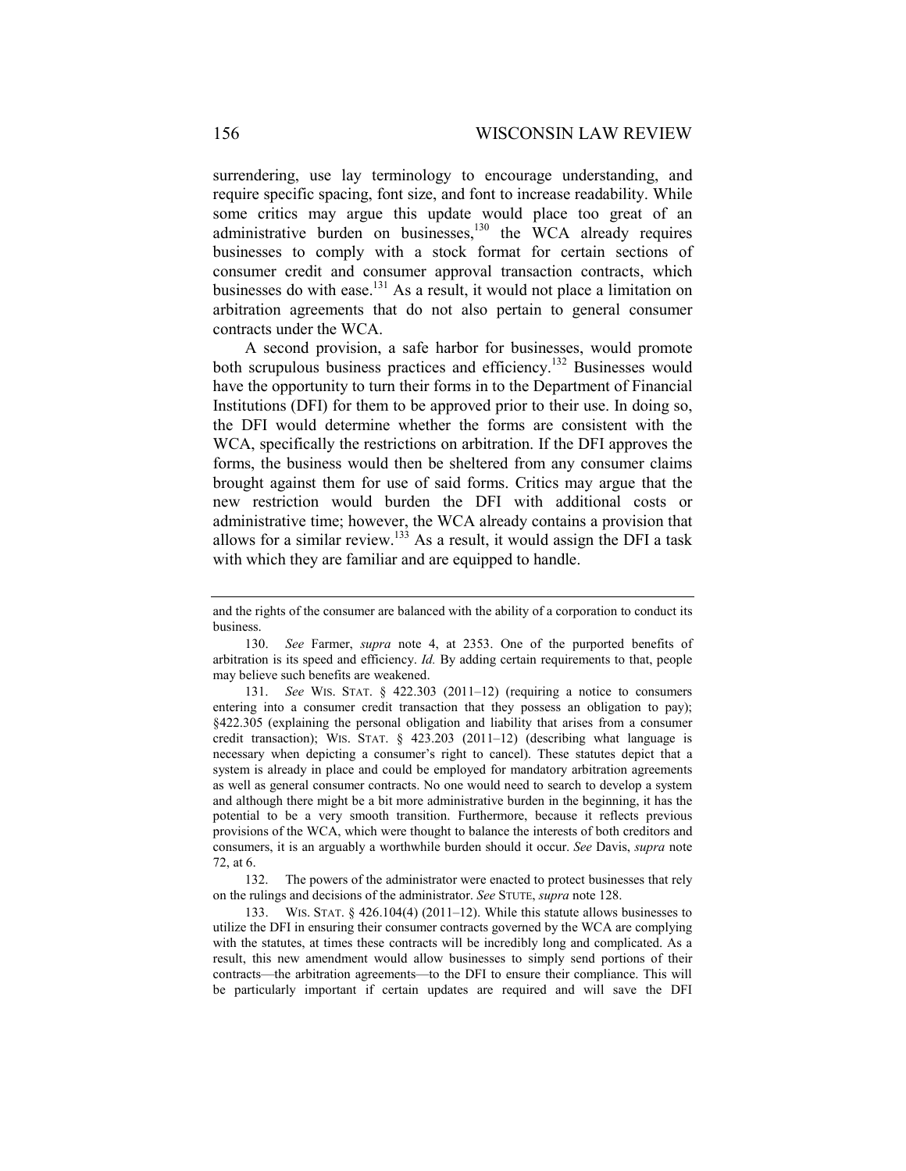surrendering, use lay terminology to encourage understanding, and require specific spacing, font size, and font to increase readability. While some critics may argue this update would place too great of an administrative burden on businesses, $130$  the WCA already requires businesses to comply with a stock format for certain sections of consumer credit and consumer approval transaction contracts, which businesses do with ease.<sup>131</sup> As a result, it would not place a limitation on arbitration agreements that do not also pertain to general consumer contracts under the WCA.

A second provision, a safe harbor for businesses, would promote both scrupulous business practices and efficiency.<sup>132</sup> Businesses would have the opportunity to turn their forms in to the Department of Financial Institutions (DFI) for them to be approved prior to their use. In doing so, the DFI would determine whether the forms are consistent with the WCA, specifically the restrictions on arbitration. If the DFI approves the forms, the business would then be sheltered from any consumer claims brought against them for use of said forms. Critics may argue that the new restriction would burden the DFI with additional costs or administrative time; however, the WCA already contains a provision that allows for a similar review.<sup>133</sup> As a result, it would assign the DFI a task with which they are familiar and are equipped to handle.

and the rights of the consumer are balanced with the ability of a corporation to conduct its business.

 <sup>130.</sup> *See* Farmer, *supra* note 4, at 2353. One of the purported benefits of arbitration is its speed and efficiency. *Id.* By adding certain requirements to that, people may believe such benefits are weakened.

 <sup>131.</sup> *See* WIS. STAT. § 422.303 (2011–12) (requiring a notice to consumers entering into a consumer credit transaction that they possess an obligation to pay); §422.305 (explaining the personal obligation and liability that arises from a consumer credit transaction); WIS. STAT. § 423.203 (2011–12) (describing what language is necessary when depicting a consumer's right to cancel). These statutes depict that a system is already in place and could be employed for mandatory arbitration agreements as well as general consumer contracts. No one would need to search to develop a system and although there might be a bit more administrative burden in the beginning, it has the potential to be a very smooth transition. Furthermore, because it reflects previous provisions of the WCA, which were thought to balance the interests of both creditors and consumers, it is an arguably a worthwhile burden should it occur. *See* Davis, *supra* note 72, at 6.

 <sup>132.</sup> The powers of the administrator were enacted to protect businesses that rely on the rulings and decisions of the administrator. *See* STUTE, *supra* note 128.

 <sup>133.</sup> WIS. STAT. § 426.104(4) (2011–12). While this statute allows businesses to utilize the DFI in ensuring their consumer contracts governed by the WCA are complying with the statutes, at times these contracts will be incredibly long and complicated. As a result, this new amendment would allow businesses to simply send portions of their contracts—the arbitration agreements—to the DFI to ensure their compliance. This will be particularly important if certain updates are required and will save the DFI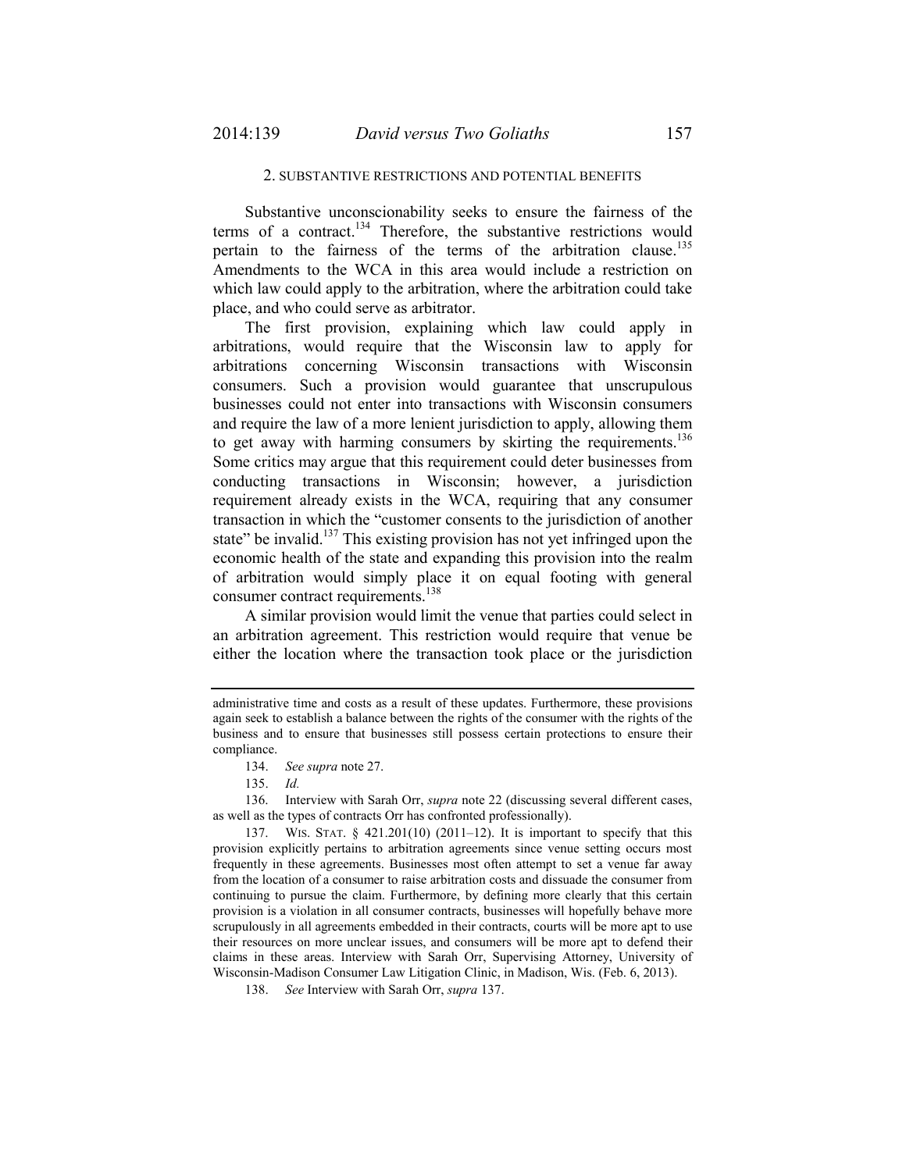#### 2. SUBSTANTIVE RESTRICTIONS AND POTENTIAL BENEFITS

Substantive unconscionability seeks to ensure the fairness of the terms of a contract.<sup>134</sup> Therefore, the substantive restrictions would pertain to the fairness of the terms of the arbitration clause.<sup>135</sup> Amendments to the WCA in this area would include a restriction on which law could apply to the arbitration, where the arbitration could take place, and who could serve as arbitrator.

The first provision, explaining which law could apply in arbitrations, would require that the Wisconsin law to apply for arbitrations concerning Wisconsin transactions with Wisconsin consumers. Such a provision would guarantee that unscrupulous businesses could not enter into transactions with Wisconsin consumers and require the law of a more lenient jurisdiction to apply, allowing them to get away with harming consumers by skirting the requirements.<sup>136</sup> Some critics may argue that this requirement could deter businesses from conducting transactions in Wisconsin; however, a jurisdiction requirement already exists in the WCA, requiring that any consumer transaction in which the "customer consents to the jurisdiction of another state" be invalid.<sup>137</sup> This existing provision has not yet infringed upon the economic health of the state and expanding this provision into the realm of arbitration would simply place it on equal footing with general consumer contract requirements.<sup>138</sup>

A similar provision would limit the venue that parties could select in an arbitration agreement. This restriction would require that venue be either the location where the transaction took place or the jurisdiction

 136. Interview with Sarah Orr, *supra* note 22 (discussing several different cases, as well as the types of contracts Orr has confronted professionally).

administrative time and costs as a result of these updates. Furthermore, these provisions again seek to establish a balance between the rights of the consumer with the rights of the business and to ensure that businesses still possess certain protections to ensure their compliance.

 <sup>134.</sup> *See supra* note 27.

 <sup>135.</sup> *Id.*

 <sup>137.</sup> WIS. STAT. § 421.201(10) (2011–12). It is important to specify that this provision explicitly pertains to arbitration agreements since venue setting occurs most frequently in these agreements. Businesses most often attempt to set a venue far away from the location of a consumer to raise arbitration costs and dissuade the consumer from continuing to pursue the claim. Furthermore, by defining more clearly that this certain provision is a violation in all consumer contracts, businesses will hopefully behave more scrupulously in all agreements embedded in their contracts, courts will be more apt to use their resources on more unclear issues, and consumers will be more apt to defend their claims in these areas. Interview with Sarah Orr, Supervising Attorney, University of Wisconsin-Madison Consumer Law Litigation Clinic, in Madison, Wis. (Feb. 6, 2013).

 <sup>138.</sup> *See* Interview with Sarah Orr, *supra* 137.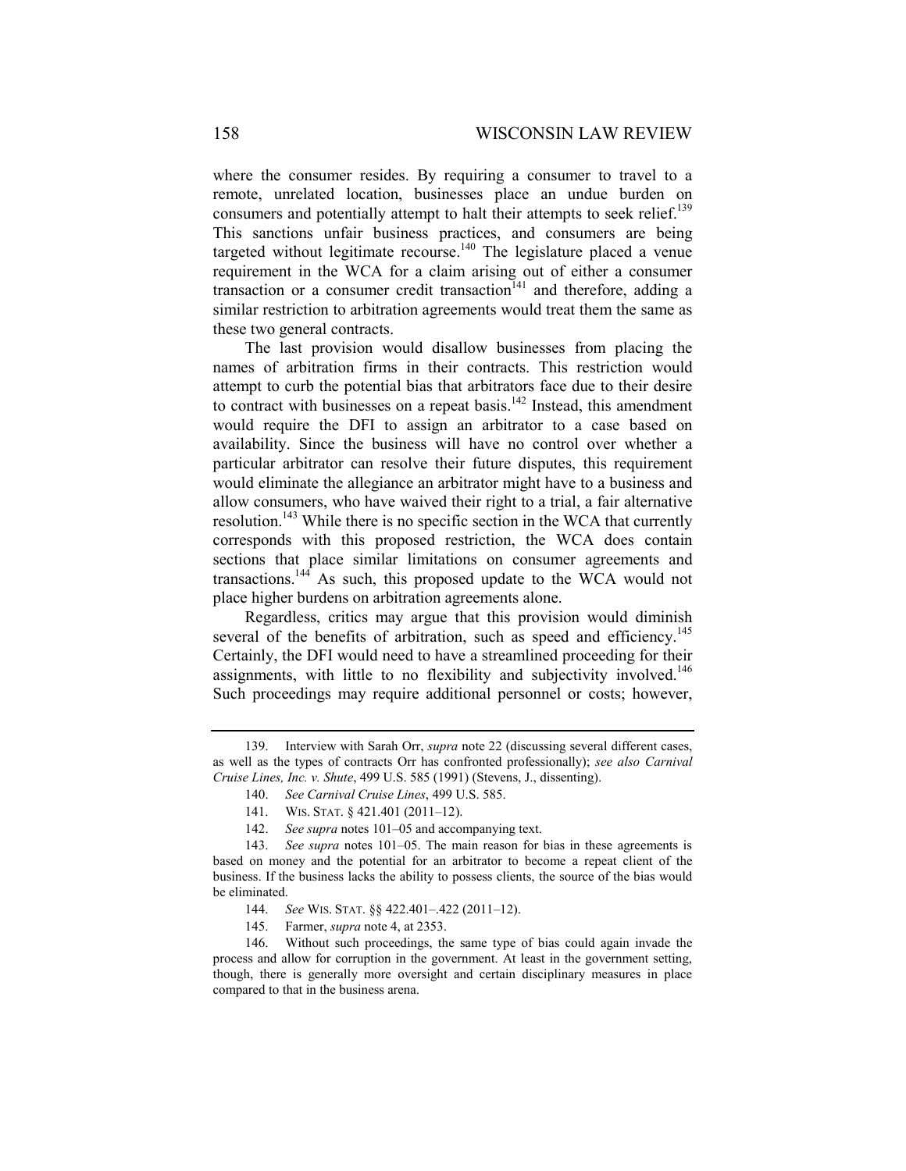where the consumer resides. By requiring a consumer to travel to a remote, unrelated location, businesses place an undue burden on consumers and potentially attempt to halt their attempts to seek relief.<sup>139</sup> This sanctions unfair business practices, and consumers are being targeted without legitimate recourse.<sup>140</sup> The legislature placed a venue requirement in the WCA for a claim arising out of either a consumer transaction or a consumer credit transaction<sup> $141$ </sup> and therefore, adding a similar restriction to arbitration agreements would treat them the same as these two general contracts.

The last provision would disallow businesses from placing the names of arbitration firms in their contracts. This restriction would attempt to curb the potential bias that arbitrators face due to their desire to contract with businesses on a repeat basis.<sup>142</sup> Instead, this amendment would require the DFI to assign an arbitrator to a case based on availability. Since the business will have no control over whether a particular arbitrator can resolve their future disputes, this requirement would eliminate the allegiance an arbitrator might have to a business and allow consumers, who have waived their right to a trial, a fair alternative resolution.<sup>143</sup> While there is no specific section in the WCA that currently corresponds with this proposed restriction, the WCA does contain sections that place similar limitations on consumer agreements and transactions.144 As such, this proposed update to the WCA would not place higher burdens on arbitration agreements alone.

Regardless, critics may argue that this provision would diminish several of the benefits of arbitration, such as speed and efficiency.<sup>145</sup> Certainly, the DFI would need to have a streamlined proceeding for their assignments, with little to no flexibility and subjectivity involved.<sup>146</sup> Such proceedings may require additional personnel or costs; however,

 <sup>139.</sup> Interview with Sarah Orr, *supra* note 22 (discussing several different cases, as well as the types of contracts Orr has confronted professionally); *see also Carnival Cruise Lines, Inc. v. Shute*, 499 U.S. 585 (1991) (Stevens, J., dissenting).

 <sup>140.</sup> *See Carnival Cruise Lines*, 499 U.S. 585.

 <sup>141.</sup> WIS. STAT. § 421.401 (2011–12).

 <sup>142.</sup> *See supra* notes 101–05 and accompanying text.

 <sup>143.</sup> *See supra* notes 101–05. The main reason for bias in these agreements is based on money and the potential for an arbitrator to become a repeat client of the business. If the business lacks the ability to possess clients, the source of the bias would be eliminated.

 <sup>144.</sup> *See* WIS. STAT. §§ 422.401–.422 (2011–12).

 <sup>145.</sup> Farmer, *supra* note 4, at 2353.

 <sup>146.</sup> Without such proceedings, the same type of bias could again invade the process and allow for corruption in the government. At least in the government setting, though, there is generally more oversight and certain disciplinary measures in place compared to that in the business arena.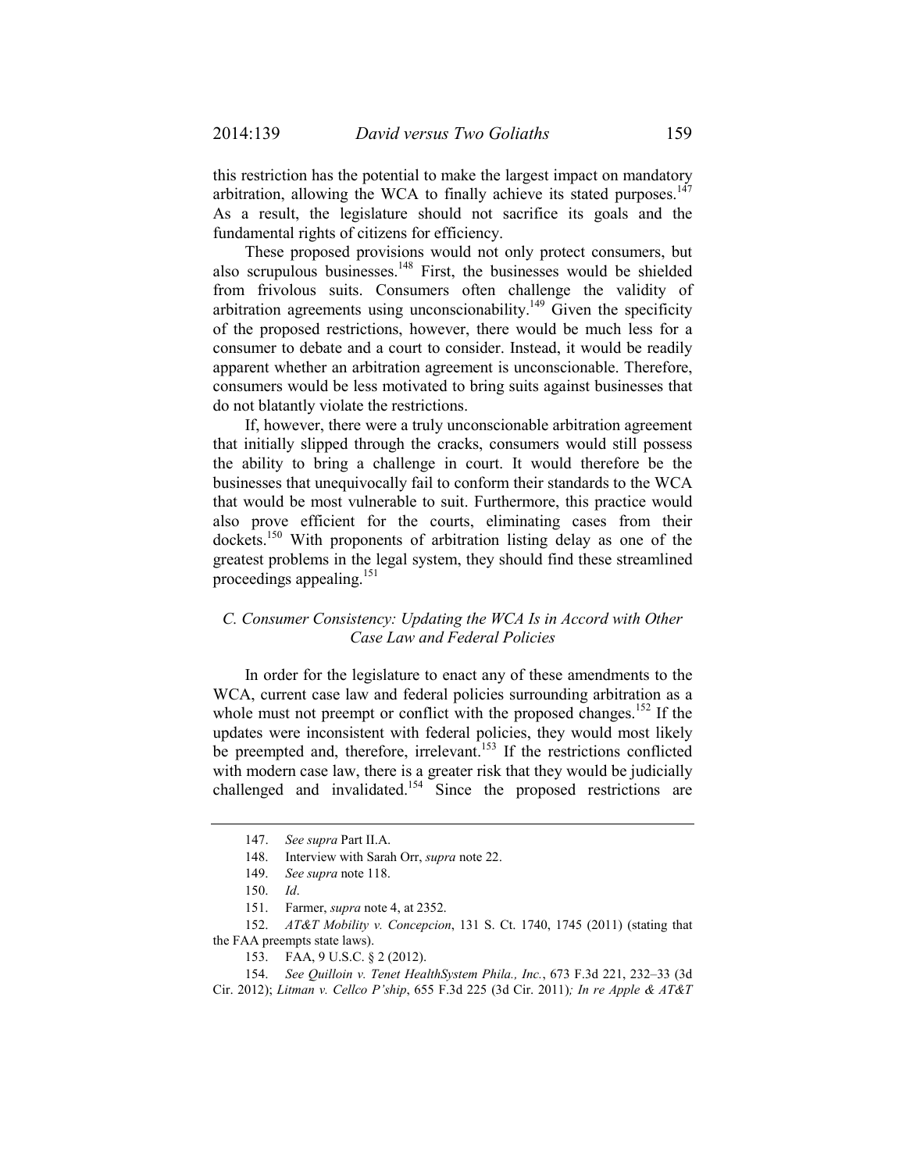this restriction has the potential to make the largest impact on mandatory arbitration, allowing the WCA to finally achieve its stated purposes.<sup>147</sup> As a result, the legislature should not sacrifice its goals and the fundamental rights of citizens for efficiency.

These proposed provisions would not only protect consumers, but also scrupulous businesses.148 First, the businesses would be shielded from frivolous suits. Consumers often challenge the validity of arbitration agreements using unconscionability.<sup>149</sup> Given the specificity of the proposed restrictions, however, there would be much less for a consumer to debate and a court to consider. Instead, it would be readily apparent whether an arbitration agreement is unconscionable. Therefore, consumers would be less motivated to bring suits against businesses that do not blatantly violate the restrictions.

If, however, there were a truly unconscionable arbitration agreement that initially slipped through the cracks, consumers would still possess the ability to bring a challenge in court. It would therefore be the businesses that unequivocally fail to conform their standards to the WCA that would be most vulnerable to suit. Furthermore, this practice would also prove efficient for the courts, eliminating cases from their dockets.150 With proponents of arbitration listing delay as one of the greatest problems in the legal system, they should find these streamlined proceedings appealing.<sup>151</sup>

## *C. Consumer Consistency: Updating the WCA Is in Accord with Other Case Law and Federal Policies*

In order for the legislature to enact any of these amendments to the WCA, current case law and federal policies surrounding arbitration as a whole must not preempt or conflict with the proposed changes.<sup>152</sup> If the updates were inconsistent with federal policies, they would most likely be preempted and, therefore, irrelevant.<sup>153</sup> If the restrictions conflicted with modern case law, there is a greater risk that they would be judicially challenged and invalidated.<sup>154</sup> Since the proposed restrictions are

 152. *AT&T Mobility v. Concepcion*, 131 S. Ct. 1740, 1745 (2011) (stating that the FAA preempts state laws).

 <sup>147.</sup> *See supra* Part II.A.

 <sup>148.</sup> Interview with Sarah Orr, *supra* note 22.

 <sup>149.</sup> *See supra* note 118.

 <sup>150.</sup> *Id*.

 <sup>151.</sup> Farmer, *supra* note 4, at 2352.

 <sup>153.</sup> FAA, 9 U.S.C. § 2 (2012).

 <sup>154.</sup> *See Quilloin v. Tenet HealthSystem Phila., Inc.*, 673 F.3d 221, 232–33 (3d Cir. 2012); *Litman v. Cellco P'ship*, 655 F.3d 225 (3d Cir. 2011)*; In re Apple & AT&T*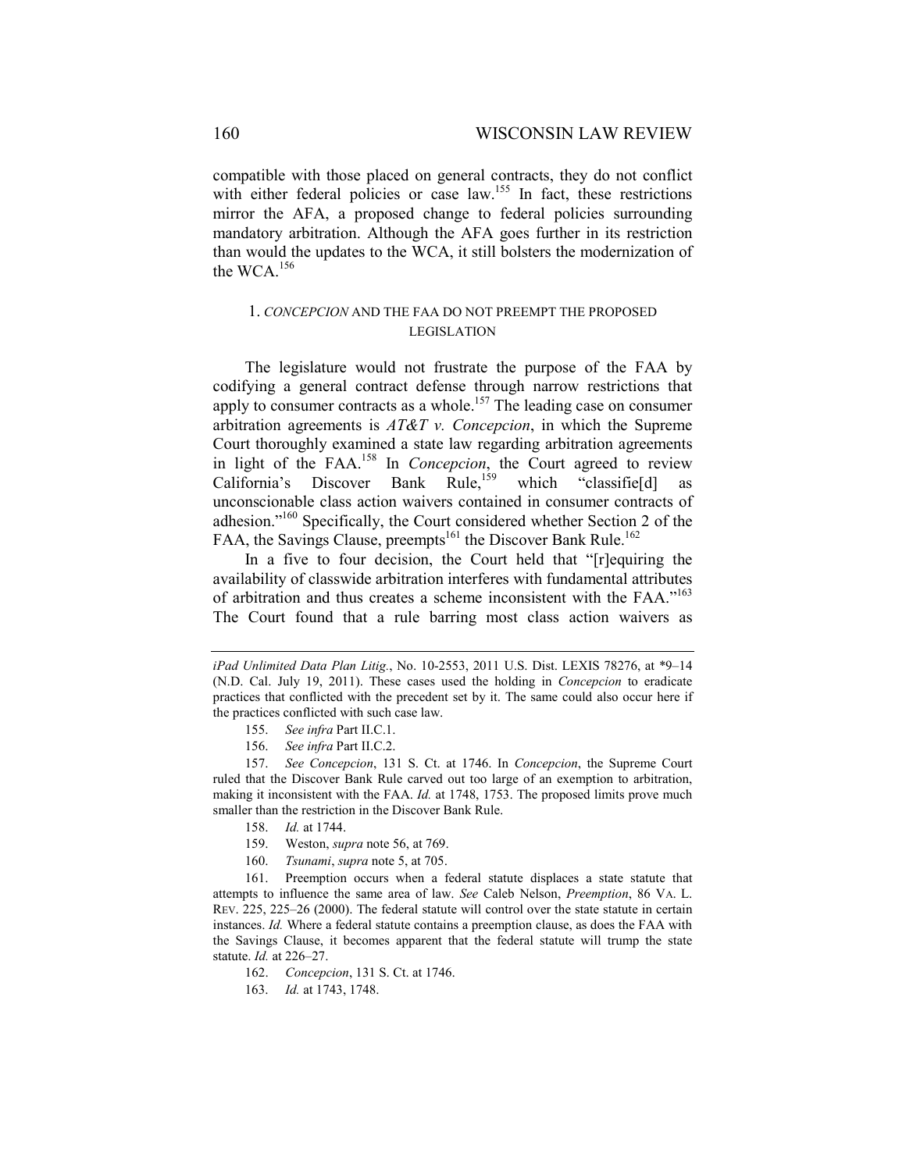compatible with those placed on general contracts, they do not conflict with either federal policies or case law.<sup>155</sup> In fact, these restrictions mirror the AFA, a proposed change to federal policies surrounding mandatory arbitration. Although the AFA goes further in its restriction than would the updates to the WCA, it still bolsters the modernization of the WCA.156

## 1. *CONCEPCION* AND THE FAA DO NOT PREEMPT THE PROPOSED LEGISLATION

The legislature would not frustrate the purpose of the FAA by codifying a general contract defense through narrow restrictions that apply to consumer contracts as a whole.<sup>157</sup> The leading case on consumer arbitration agreements is *AT&T v. Concepcion*, in which the Supreme Court thoroughly examined a state law regarding arbitration agreements in light of the FAA.158 In *Concepcion*, the Court agreed to review California's Discover Bank Rule,<sup>159</sup> which "classifie<sup>[d]</sup> as unconscionable class action waivers contained in consumer contracts of adhesion."160 Specifically, the Court considered whether Section 2 of the FAA, the Savings Clause, preempts<sup>161</sup> the Discover Bank Rule.<sup>162</sup>

In a five to four decision, the Court held that "[r]equiring the availability of classwide arbitration interferes with fundamental attributes of arbitration and thus creates a scheme inconsistent with the FAA."163 The Court found that a rule barring most class action waivers as

*iPad Unlimited Data Plan Litig.*, No. 10-2553, 2011 U.S. Dist. LEXIS 78276, at \*9–14 (N.D. Cal. July 19, 2011). These cases used the holding in *Concepcion* to eradicate practices that conflicted with the precedent set by it. The same could also occur here if the practices conflicted with such case law.

 <sup>155.</sup> *See infra* Part II.C.1.

 <sup>156.</sup> *See infra* Part II.C.2.

 <sup>157.</sup> *See Concepcion*, 131 S. Ct. at 1746. In *Concepcion*, the Supreme Court ruled that the Discover Bank Rule carved out too large of an exemption to arbitration, making it inconsistent with the FAA. *Id.* at 1748, 1753. The proposed limits prove much smaller than the restriction in the Discover Bank Rule.

 <sup>158.</sup> *Id.* at 1744.

 <sup>159.</sup> Weston, *supra* note 56, at 769.

 <sup>160.</sup> *Tsunami*, *supra* note 5, at 705.

 <sup>161.</sup> Preemption occurs when a federal statute displaces a state statute that attempts to influence the same area of law. *See* Caleb Nelson, *Preemption*, 86 VA. L. REV. 225, 225–26 (2000). The federal statute will control over the state statute in certain instances. *Id.* Where a federal statute contains a preemption clause, as does the FAA with the Savings Clause, it becomes apparent that the federal statute will trump the state statute. *Id.* at 226–27.

 <sup>162.</sup> *Concepcion*, 131 S. Ct. at 1746.

 <sup>163.</sup> *Id.* at 1743, 1748.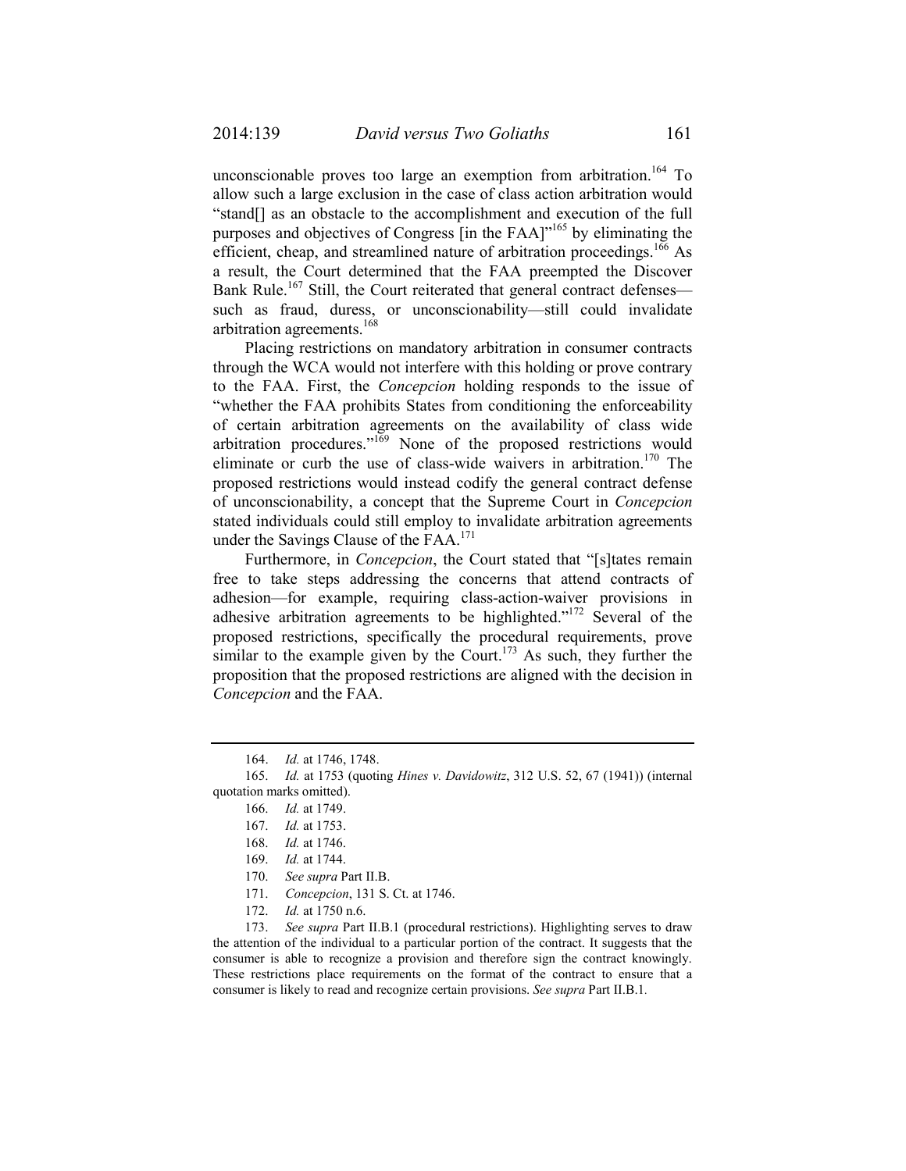unconscionable proves too large an exemption from arbitration.<sup>164</sup> To allow such a large exclusion in the case of class action arbitration would "stand[] as an obstacle to the accomplishment and execution of the full purposes and objectives of Congress [in the FAA]<sup>165</sup> by eliminating the efficient, cheap, and streamlined nature of arbitration proceedings.<sup>166</sup> As a result, the Court determined that the FAA preempted the Discover Bank Rule.<sup>167</sup> Still, the Court reiterated that general contract defenses such as fraud, duress, or unconscionability—still could invalidate arbitration agreements.168

Placing restrictions on mandatory arbitration in consumer contracts through the WCA would not interfere with this holding or prove contrary to the FAA. First, the *Concepcion* holding responds to the issue of "whether the FAA prohibits States from conditioning the enforceability of certain arbitration agreements on the availability of class wide arbitration procedures."169 None of the proposed restrictions would eliminate or curb the use of class-wide waivers in arbitration.<sup>170</sup> The proposed restrictions would instead codify the general contract defense of unconscionability, a concept that the Supreme Court in *Concepcion* stated individuals could still employ to invalidate arbitration agreements under the Savings Clause of the FAA.<sup>171</sup>

Furthermore, in *Concepcion*, the Court stated that "[s]tates remain free to take steps addressing the concerns that attend contracts of adhesion—for example, requiring class-action-waiver provisions in adhesive arbitration agreements to be highlighted."172 Several of the proposed restrictions, specifically the procedural requirements, prove similar to the example given by the Court.<sup>173</sup> As such, they further the proposition that the proposed restrictions are aligned with the decision in *Concepcion* and the FAA.

 173. *See supra* Part II.B.1 (procedural restrictions). Highlighting serves to draw the attention of the individual to a particular portion of the contract. It suggests that the consumer is able to recognize a provision and therefore sign the contract knowingly. These restrictions place requirements on the format of the contract to ensure that a consumer is likely to read and recognize certain provisions. *See supra* Part II.B.1*.* 

 <sup>164.</sup> *Id.* at 1746, 1748.

 <sup>165.</sup> *Id.* at 1753 (quoting *Hines v. Davidowitz*, 312 U.S. 52, 67 (1941)) (internal quotation marks omitted).

 <sup>166.</sup> *Id.* at 1749.

 <sup>167.</sup> *Id.* at 1753.

 <sup>168.</sup> *Id.* at 1746.

 <sup>169.</sup> *Id.* at 1744.

 <sup>170.</sup> *See supra* Part II.B.

 <sup>171.</sup> *Concepcion*, 131 S. Ct. at 1746.

 <sup>172.</sup> *Id.* at 1750 n.6.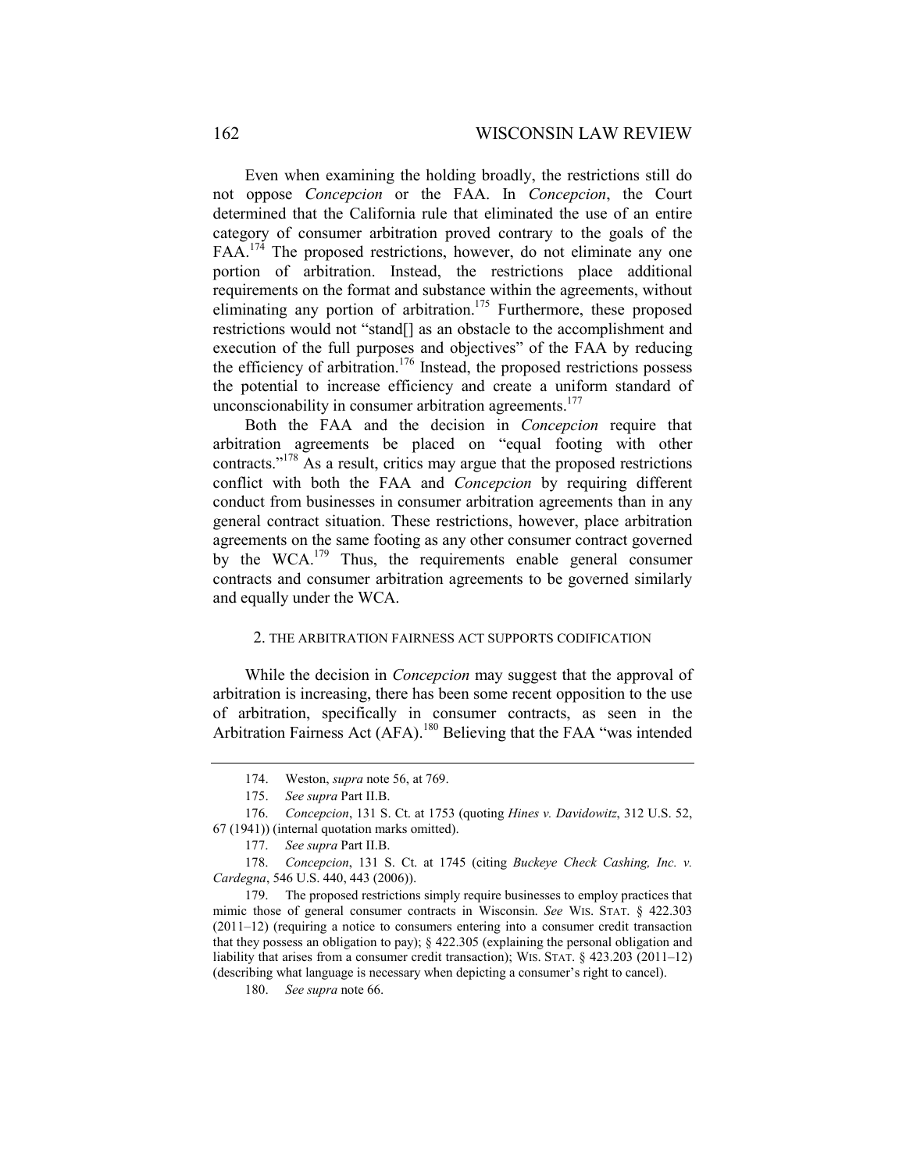Even when examining the holding broadly, the restrictions still do not oppose *Concepcion* or the FAA. In *Concepcion*, the Court determined that the California rule that eliminated the use of an entire category of consumer arbitration proved contrary to the goals of the FAA.<sup>174</sup> The proposed restrictions, however, do not eliminate any one portion of arbitration. Instead, the restrictions place additional requirements on the format and substance within the agreements, without eliminating any portion of arbitration.<sup>175</sup> Furthermore, these proposed restrictions would not "stand[] as an obstacle to the accomplishment and execution of the full purposes and objectives" of the FAA by reducing the efficiency of arbitration.<sup>176</sup> Instead, the proposed restrictions possess the potential to increase efficiency and create a uniform standard of unconscionability in consumer arbitration agreements.<sup>177</sup>

Both the FAA and the decision in *Concepcion* require that arbitration agreements be placed on "equal footing with other contracts."178 As a result, critics may argue that the proposed restrictions conflict with both the FAA and *Concepcion* by requiring different conduct from businesses in consumer arbitration agreements than in any general contract situation. These restrictions, however, place arbitration agreements on the same footing as any other consumer contract governed by the WCA.<sup>179</sup> Thus, the requirements enable general consumer contracts and consumer arbitration agreements to be governed similarly and equally under the WCA.

#### 2. THE ARBITRATION FAIRNESS ACT SUPPORTS CODIFICATION

While the decision in *Concepcion* may suggest that the approval of arbitration is increasing, there has been some recent opposition to the use of arbitration, specifically in consumer contracts, as seen in the Arbitration Fairness Act (AFA).<sup>180</sup> Believing that the FAA "was intended

 <sup>174.</sup> Weston, *supra* note 56, at 769.

 <sup>175.</sup> *See supra* Part II.B.

 <sup>176.</sup> *Concepcion*, 131 S. Ct. at 1753 (quoting *Hines v. Davidowitz*, 312 U.S. 52, 67 (1941)) (internal quotation marks omitted).

 <sup>177.</sup> *See supra* Part II.B.

 <sup>178.</sup> *Concepcion*, 131 S. Ct. at 1745 (citing *Buckeye Check Cashing, Inc. v. Cardegna*, 546 U.S. 440, 443 (2006)).

 <sup>179.</sup> The proposed restrictions simply require businesses to employ practices that mimic those of general consumer contracts in Wisconsin. *See* WIS. STAT. § 422.303 (2011–12) (requiring a notice to consumers entering into a consumer credit transaction that they possess an obligation to pay); § 422.305 (explaining the personal obligation and liability that arises from a consumer credit transaction); WIS. STAT. § 423.203 (2011–12) (describing what language is necessary when depicting a consumer's right to cancel).

 <sup>180.</sup> *See supra* note 66.